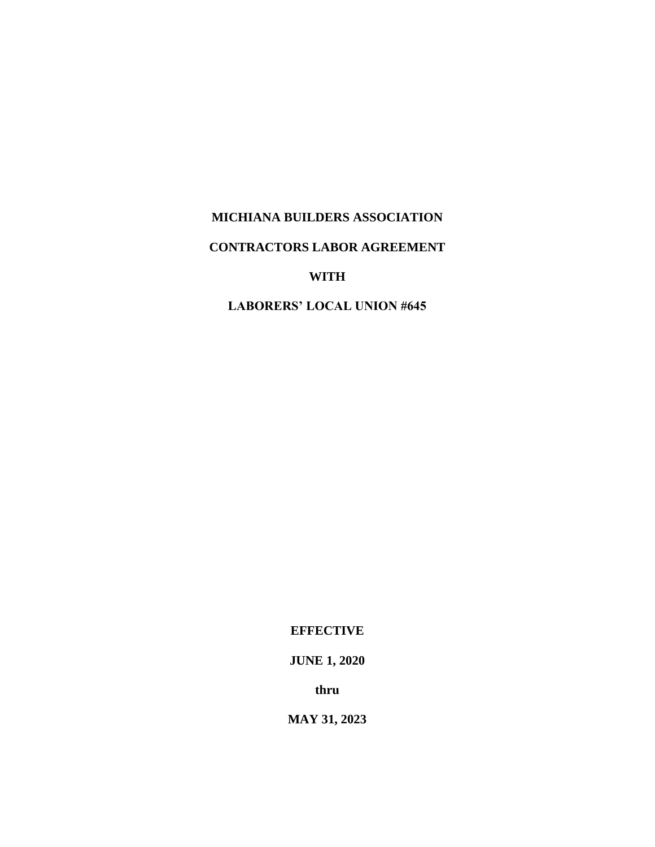# **MICHIANA BUILDERS ASSOCIATION**

# **CONTRACTORS LABOR AGREEMENT**

# **WITH**

**LABORERS' LOCAL UNION #645**

**EFFECTIVE**

**JUNE 1, 2020**

**thru**

**MAY 31, 2023**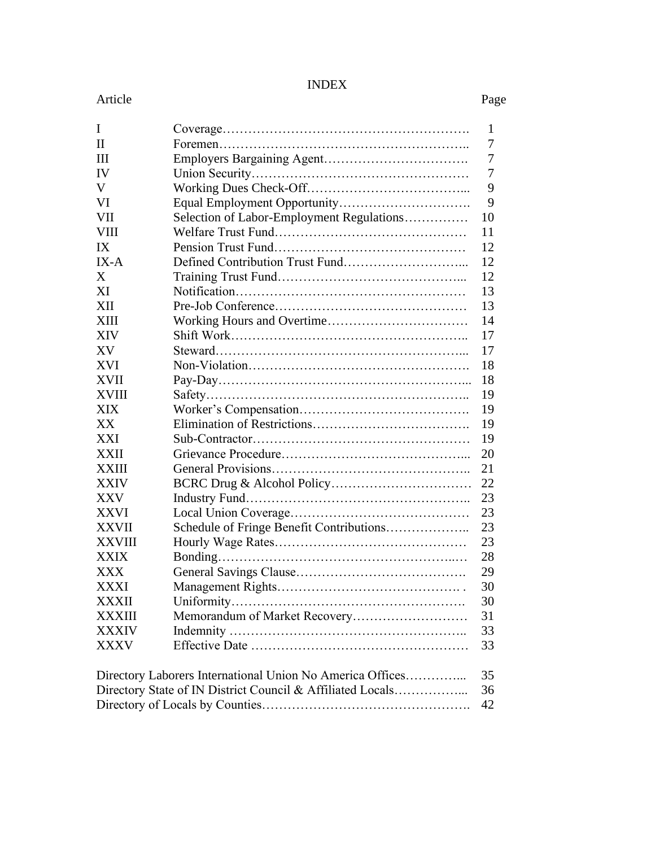# INDEX

#### Article Page

| I                                                          | 1  |  |  |
|------------------------------------------------------------|----|--|--|
| $\mathbf{I}$                                               | 7  |  |  |
| Ш                                                          | 7  |  |  |
| IV                                                         | 7  |  |  |
| V                                                          | 9  |  |  |
| VI                                                         | 9  |  |  |
| Selection of Labor-Employment Regulations<br>VII           | 10 |  |  |
| VIII                                                       | 11 |  |  |
| IX                                                         | 12 |  |  |
| $IX-A$                                                     | 12 |  |  |
| X                                                          | 12 |  |  |
| XI                                                         | 13 |  |  |
| XII                                                        | 13 |  |  |
| XIII                                                       | 14 |  |  |
| XIV                                                        | 17 |  |  |
| XV                                                         | 17 |  |  |
| <b>XVI</b>                                                 | 18 |  |  |
| XVII                                                       | 18 |  |  |
| XVIII                                                      | 19 |  |  |
| XIX                                                        | 19 |  |  |
| XX                                                         | 19 |  |  |
| <b>XXI</b>                                                 | 19 |  |  |
| XXII                                                       | 20 |  |  |
| XXIII                                                      | 21 |  |  |
| XXIV                                                       | 22 |  |  |
| XXV                                                        | 23 |  |  |
| XXVI                                                       | 23 |  |  |
| Schedule of Fringe Benefit Contributions<br><b>XXVII</b>   | 23 |  |  |
| XXVIII                                                     | 23 |  |  |
| XXIX                                                       | 28 |  |  |
| XXX                                                        | 29 |  |  |
| XXXI                                                       | 30 |  |  |
| <b>XXXII</b>                                               | 30 |  |  |
| Memorandum of Market Recovery<br><b>XXXIII</b>             | 31 |  |  |
| <b>XXXIV</b>                                               | 33 |  |  |
| XXXV                                                       | 33 |  |  |
| Directory Laborers International Union No America Offices  | 35 |  |  |
| Directory State of IN District Council & Affiliated Locals | 36 |  |  |
| 42                                                         |    |  |  |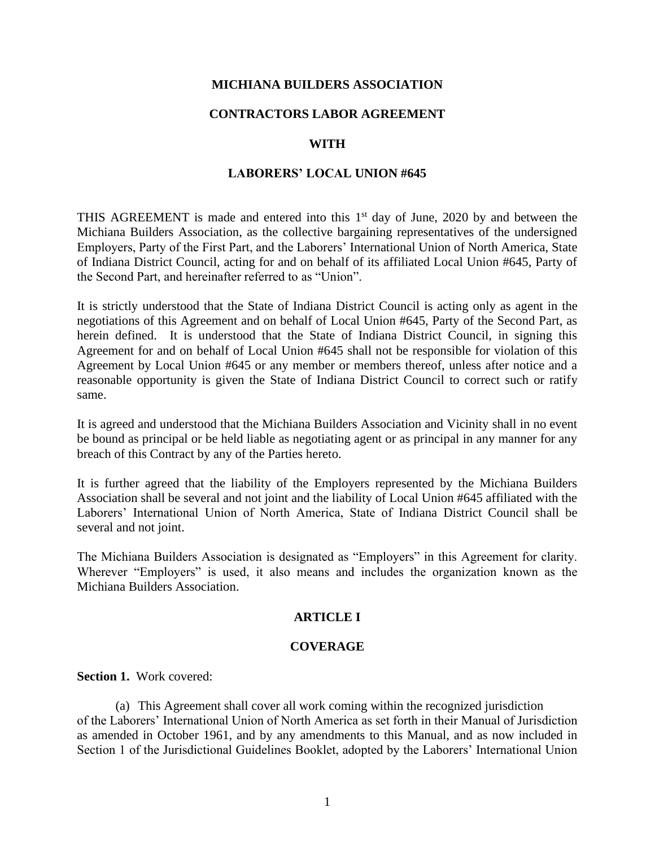# **MICHIANA BUILDERS ASSOCIATION**

# **CONTRACTORS LABOR AGREEMENT**

# **WITH**

# **LABORERS' LOCAL UNION #645**

THIS AGREEMENT is made and entered into this  $1<sup>st</sup>$  day of June, 2020 by and between the Michiana Builders Association, as the collective bargaining representatives of the undersigned Employers, Party of the First Part, and the Laborers' International Union of North America, State of Indiana District Council, acting for and on behalf of its affiliated Local Union #645, Party of the Second Part, and hereinafter referred to as "Union".

It is strictly understood that the State of Indiana District Council is acting only as agent in the negotiations of this Agreement and on behalf of Local Union #645, Party of the Second Part, as herein defined. It is understood that the State of Indiana District Council, in signing this Agreement for and on behalf of Local Union #645 shall not be responsible for violation of this Agreement by Local Union #645 or any member or members thereof, unless after notice and a reasonable opportunity is given the State of Indiana District Council to correct such or ratify same.

It is agreed and understood that the Michiana Builders Association and Vicinity shall in no event be bound as principal or be held liable as negotiating agent or as principal in any manner for any breach of this Contract by any of the Parties hereto.

It is further agreed that the liability of the Employers represented by the Michiana Builders Association shall be several and not joint and the liability of Local Union #645 affiliated with the Laborers' International Union of North America, State of Indiana District Council shall be several and not joint.

The Michiana Builders Association is designated as "Employers" in this Agreement for clarity. Wherever "Employers" is used, it also means and includes the organization known as the Michiana Builders Association.

# **ARTICLE I**

#### **COVERAGE**

**Section 1.** Work covered:

(a) This Agreement shall cover all work coming within the recognized jurisdiction of the Laborers' International Union of North America as set forth in their Manual of Jurisdiction as amended in October 1961, and by any amendments to this Manual, and as now included in Section 1 of the Jurisdictional Guidelines Booklet, adopted by the Laborers' International Union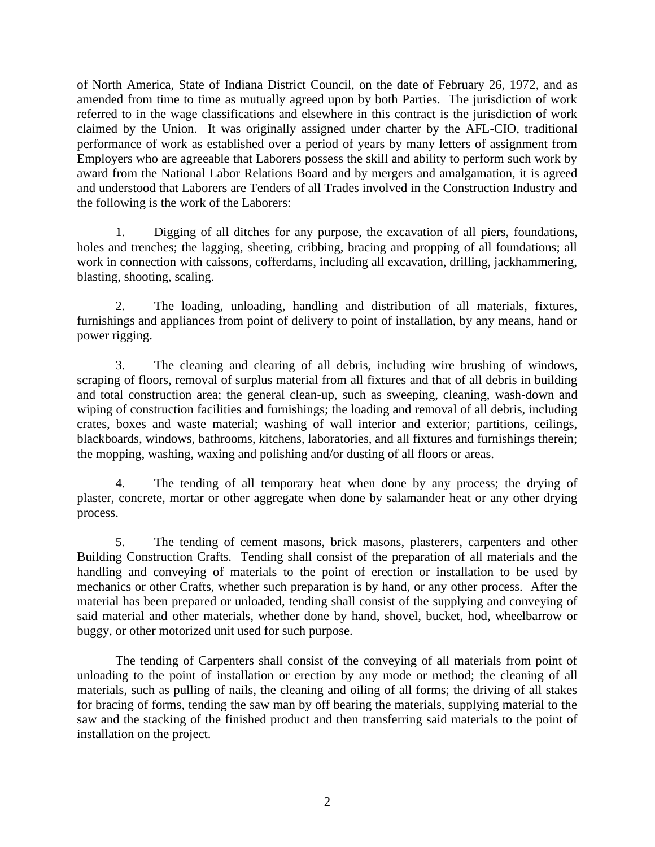of North America, State of Indiana District Council, on the date of February 26, 1972, and as amended from time to time as mutually agreed upon by both Parties. The jurisdiction of work referred to in the wage classifications and elsewhere in this contract is the jurisdiction of work claimed by the Union. It was originally assigned under charter by the AFL-CIO, traditional performance of work as established over a period of years by many letters of assignment from Employers who are agreeable that Laborers possess the skill and ability to perform such work by award from the National Labor Relations Board and by mergers and amalgamation, it is agreed and understood that Laborers are Tenders of all Trades involved in the Construction Industry and the following is the work of the Laborers:

1. Digging of all ditches for any purpose, the excavation of all piers, foundations, holes and trenches; the lagging, sheeting, cribbing, bracing and propping of all foundations; all work in connection with caissons, cofferdams, including all excavation, drilling, jackhammering, blasting, shooting, scaling.

2. The loading, unloading, handling and distribution of all materials, fixtures, furnishings and appliances from point of delivery to point of installation, by any means, hand or power rigging.

3. The cleaning and clearing of all debris, including wire brushing of windows, scraping of floors, removal of surplus material from all fixtures and that of all debris in building and total construction area; the general clean-up, such as sweeping, cleaning, wash-down and wiping of construction facilities and furnishings; the loading and removal of all debris, including crates, boxes and waste material; washing of wall interior and exterior; partitions, ceilings, blackboards, windows, bathrooms, kitchens, laboratories, and all fixtures and furnishings therein; the mopping, washing, waxing and polishing and/or dusting of all floors or areas.

4. The tending of all temporary heat when done by any process; the drying of plaster, concrete, mortar or other aggregate when done by salamander heat or any other drying process.

5. The tending of cement masons, brick masons, plasterers, carpenters and other Building Construction Crafts. Tending shall consist of the preparation of all materials and the handling and conveying of materials to the point of erection or installation to be used by mechanics or other Crafts, whether such preparation is by hand, or any other process. After the material has been prepared or unloaded, tending shall consist of the supplying and conveying of said material and other materials, whether done by hand, shovel, bucket, hod, wheelbarrow or buggy, or other motorized unit used for such purpose.

The tending of Carpenters shall consist of the conveying of all materials from point of unloading to the point of installation or erection by any mode or method; the cleaning of all materials, such as pulling of nails, the cleaning and oiling of all forms; the driving of all stakes for bracing of forms, tending the saw man by off bearing the materials, supplying material to the saw and the stacking of the finished product and then transferring said materials to the point of installation on the project.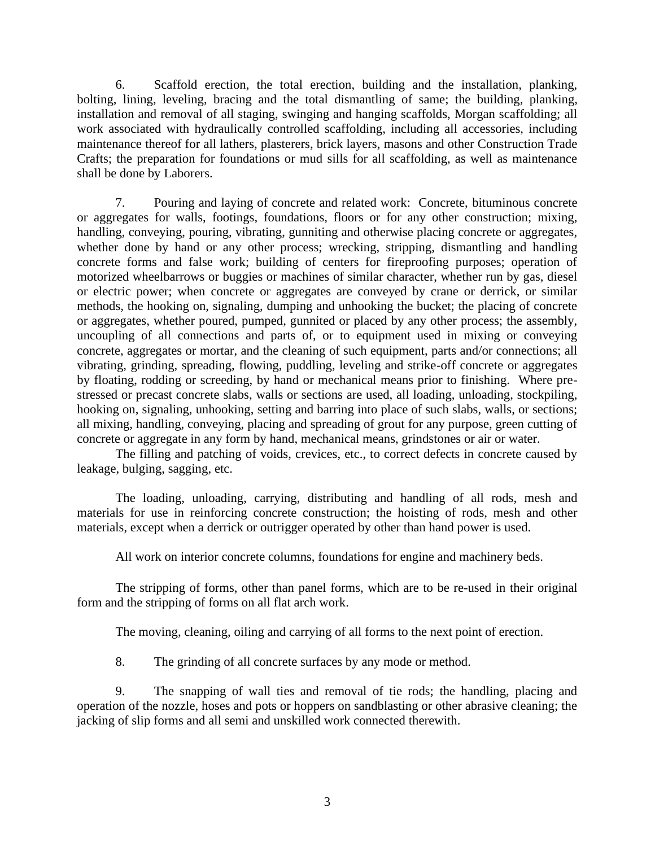6. Scaffold erection, the total erection, building and the installation, planking, bolting, lining, leveling, bracing and the total dismantling of same; the building, planking, installation and removal of all staging, swinging and hanging scaffolds, Morgan scaffolding; all work associated with hydraulically controlled scaffolding, including all accessories, including maintenance thereof for all lathers, plasterers, brick layers, masons and other Construction Trade Crafts; the preparation for foundations or mud sills for all scaffolding, as well as maintenance shall be done by Laborers.

7. Pouring and laying of concrete and related work: Concrete, bituminous concrete or aggregates for walls, footings, foundations, floors or for any other construction; mixing, handling, conveying, pouring, vibrating, gunniting and otherwise placing concrete or aggregates, whether done by hand or any other process; wrecking, stripping, dismantling and handling concrete forms and false work; building of centers for fireproofing purposes; operation of motorized wheelbarrows or buggies or machines of similar character, whether run by gas, diesel or electric power; when concrete or aggregates are conveyed by crane or derrick, or similar methods, the hooking on, signaling, dumping and unhooking the bucket; the placing of concrete or aggregates, whether poured, pumped, gunnited or placed by any other process; the assembly, uncoupling of all connections and parts of, or to equipment used in mixing or conveying concrete, aggregates or mortar, and the cleaning of such equipment, parts and/or connections; all vibrating, grinding, spreading, flowing, puddling, leveling and strike-off concrete or aggregates by floating, rodding or screeding, by hand or mechanical means prior to finishing. Where prestressed or precast concrete slabs, walls or sections are used, all loading, unloading, stockpiling, hooking on, signaling, unhooking, setting and barring into place of such slabs, walls, or sections; all mixing, handling, conveying, placing and spreading of grout for any purpose, green cutting of concrete or aggregate in any form by hand, mechanical means, grindstones or air or water.

The filling and patching of voids, crevices, etc., to correct defects in concrete caused by leakage, bulging, sagging, etc.

The loading, unloading, carrying, distributing and handling of all rods, mesh and materials for use in reinforcing concrete construction; the hoisting of rods, mesh and other materials, except when a derrick or outrigger operated by other than hand power is used.

All work on interior concrete columns, foundations for engine and machinery beds.

The stripping of forms, other than panel forms, which are to be re-used in their original form and the stripping of forms on all flat arch work.

The moving, cleaning, oiling and carrying of all forms to the next point of erection.

8. The grinding of all concrete surfaces by any mode or method.

9. The snapping of wall ties and removal of tie rods; the handling, placing and operation of the nozzle, hoses and pots or hoppers on sandblasting or other abrasive cleaning; the jacking of slip forms and all semi and unskilled work connected therewith.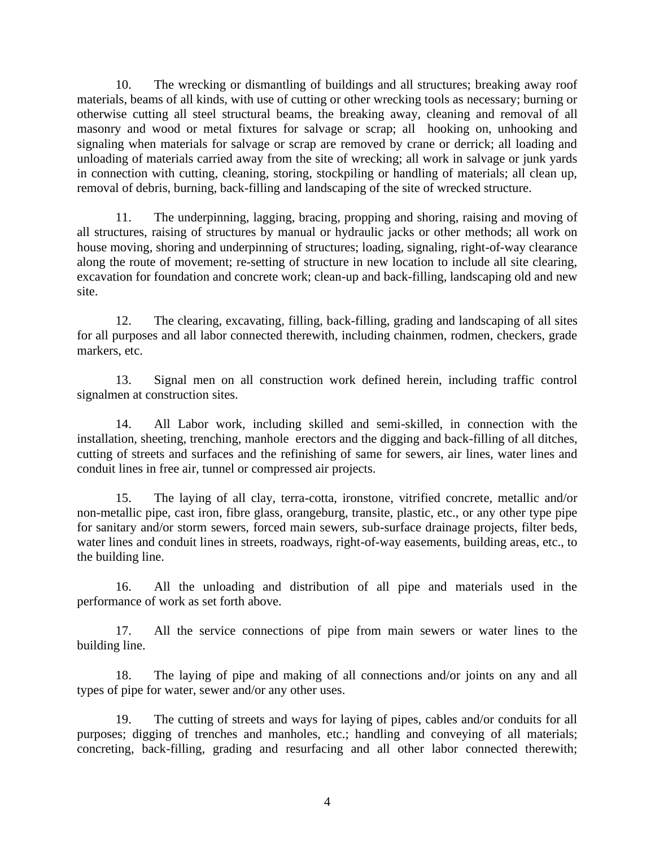10. The wrecking or dismantling of buildings and all structures; breaking away roof materials, beams of all kinds, with use of cutting or other wrecking tools as necessary; burning or otherwise cutting all steel structural beams, the breaking away, cleaning and removal of all masonry and wood or metal fixtures for salvage or scrap; all hooking on, unhooking and signaling when materials for salvage or scrap are removed by crane or derrick; all loading and unloading of materials carried away from the site of wrecking; all work in salvage or junk yards in connection with cutting, cleaning, storing, stockpiling or handling of materials; all clean up, removal of debris, burning, back-filling and landscaping of the site of wrecked structure.

11. The underpinning, lagging, bracing, propping and shoring, raising and moving of all structures, raising of structures by manual or hydraulic jacks or other methods; all work on house moving, shoring and underpinning of structures; loading, signaling, right-of-way clearance along the route of movement; re-setting of structure in new location to include all site clearing, excavation for foundation and concrete work; clean-up and back-filling, landscaping old and new site.

12. The clearing, excavating, filling, back-filling, grading and landscaping of all sites for all purposes and all labor connected therewith, including chainmen, rodmen, checkers, grade markers, etc.

13. Signal men on all construction work defined herein, including traffic control signalmen at construction sites.

14. All Labor work, including skilled and semi-skilled, in connection with the installation, sheeting, trenching, manhole erectors and the digging and back-filling of all ditches, cutting of streets and surfaces and the refinishing of same for sewers, air lines, water lines and conduit lines in free air, tunnel or compressed air projects.

15. The laying of all clay, terra-cotta, ironstone, vitrified concrete, metallic and/or non-metallic pipe, cast iron, fibre glass, orangeburg, transite, plastic, etc., or any other type pipe for sanitary and/or storm sewers, forced main sewers, sub-surface drainage projects, filter beds, water lines and conduit lines in streets, roadways, right-of-way easements, building areas, etc., to the building line.

16. All the unloading and distribution of all pipe and materials used in the performance of work as set forth above.

17. All the service connections of pipe from main sewers or water lines to the building line.

18. The laying of pipe and making of all connections and/or joints on any and all types of pipe for water, sewer and/or any other uses.

19. The cutting of streets and ways for laying of pipes, cables and/or conduits for all purposes; digging of trenches and manholes, etc.; handling and conveying of all materials; concreting, back-filling, grading and resurfacing and all other labor connected therewith;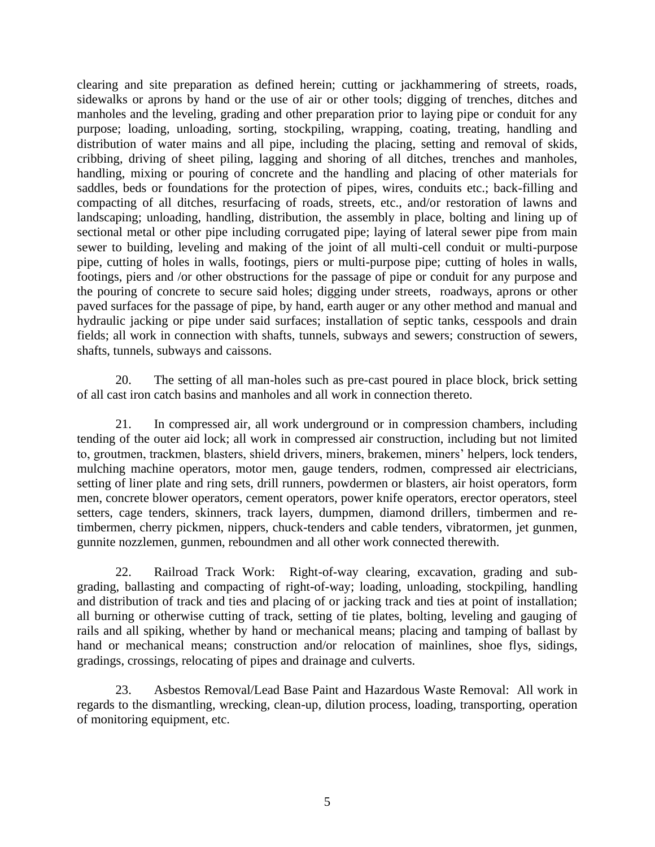clearing and site preparation as defined herein; cutting or jackhammering of streets, roads, sidewalks or aprons by hand or the use of air or other tools; digging of trenches, ditches and manholes and the leveling, grading and other preparation prior to laying pipe or conduit for any purpose; loading, unloading, sorting, stockpiling, wrapping, coating, treating, handling and distribution of water mains and all pipe, including the placing, setting and removal of skids, cribbing, driving of sheet piling, lagging and shoring of all ditches, trenches and manholes, handling, mixing or pouring of concrete and the handling and placing of other materials for saddles, beds or foundations for the protection of pipes, wires, conduits etc.; back-filling and compacting of all ditches, resurfacing of roads, streets, etc., and/or restoration of lawns and landscaping; unloading, handling, distribution, the assembly in place, bolting and lining up of sectional metal or other pipe including corrugated pipe; laying of lateral sewer pipe from main sewer to building, leveling and making of the joint of all multi-cell conduit or multi-purpose pipe, cutting of holes in walls, footings, piers or multi-purpose pipe; cutting of holes in walls, footings, piers and /or other obstructions for the passage of pipe or conduit for any purpose and the pouring of concrete to secure said holes; digging under streets, roadways, aprons or other paved surfaces for the passage of pipe, by hand, earth auger or any other method and manual and hydraulic jacking or pipe under said surfaces; installation of septic tanks, cesspools and drain fields; all work in connection with shafts, tunnels, subways and sewers; construction of sewers, shafts, tunnels, subways and caissons.

20. The setting of all man-holes such as pre-cast poured in place block, brick setting of all cast iron catch basins and manholes and all work in connection thereto.

21. In compressed air, all work underground or in compression chambers, including tending of the outer aid lock; all work in compressed air construction, including but not limited to, groutmen, trackmen, blasters, shield drivers, miners, brakemen, miners' helpers, lock tenders, mulching machine operators, motor men, gauge tenders, rodmen, compressed air electricians, setting of liner plate and ring sets, drill runners, powdermen or blasters, air hoist operators, form men, concrete blower operators, cement operators, power knife operators, erector operators, steel setters, cage tenders, skinners, track layers, dumpmen, diamond drillers, timbermen and retimbermen, cherry pickmen, nippers, chuck-tenders and cable tenders, vibratormen, jet gunmen, gunnite nozzlemen, gunmen, reboundmen and all other work connected therewith.

22. Railroad Track Work: Right-of-way clearing, excavation, grading and subgrading, ballasting and compacting of right-of-way; loading, unloading, stockpiling, handling and distribution of track and ties and placing of or jacking track and ties at point of installation; all burning or otherwise cutting of track, setting of tie plates, bolting, leveling and gauging of rails and all spiking, whether by hand or mechanical means; placing and tamping of ballast by hand or mechanical means; construction and/or relocation of mainlines, shoe flys, sidings, gradings, crossings, relocating of pipes and drainage and culverts.

23. Asbestos Removal/Lead Base Paint and Hazardous Waste Removal: All work in regards to the dismantling, wrecking, clean-up, dilution process, loading, transporting, operation of monitoring equipment, etc.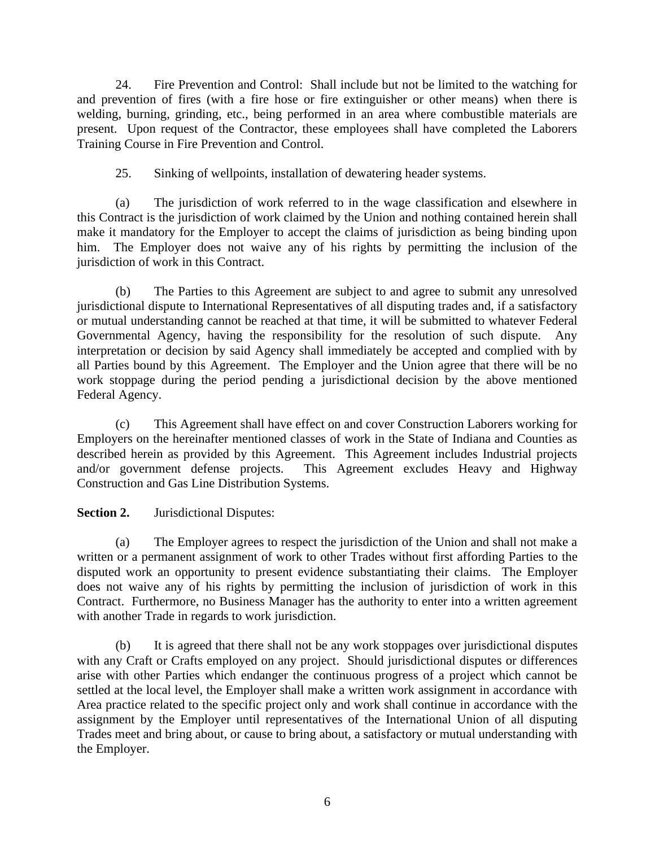24. Fire Prevention and Control: Shall include but not be limited to the watching for and prevention of fires (with a fire hose or fire extinguisher or other means) when there is welding, burning, grinding, etc., being performed in an area where combustible materials are present. Upon request of the Contractor, these employees shall have completed the Laborers Training Course in Fire Prevention and Control.

25. Sinking of wellpoints, installation of dewatering header systems.

(a) The jurisdiction of work referred to in the wage classification and elsewhere in this Contract is the jurisdiction of work claimed by the Union and nothing contained herein shall make it mandatory for the Employer to accept the claims of jurisdiction as being binding upon him. The Employer does not waive any of his rights by permitting the inclusion of the jurisdiction of work in this Contract.

(b) The Parties to this Agreement are subject to and agree to submit any unresolved jurisdictional dispute to International Representatives of all disputing trades and, if a satisfactory or mutual understanding cannot be reached at that time, it will be submitted to whatever Federal Governmental Agency, having the responsibility for the resolution of such dispute. Any interpretation or decision by said Agency shall immediately be accepted and complied with by all Parties bound by this Agreement. The Employer and the Union agree that there will be no work stoppage during the period pending a jurisdictional decision by the above mentioned Federal Agency.

(c) This Agreement shall have effect on and cover Construction Laborers working for Employers on the hereinafter mentioned classes of work in the State of Indiana and Counties as described herein as provided by this Agreement. This Agreement includes Industrial projects and/or government defense projects. This Agreement excludes Heavy and Highway Construction and Gas Line Distribution Systems.

**Section 2.** Jurisdictional Disputes:

(a) The Employer agrees to respect the jurisdiction of the Union and shall not make a written or a permanent assignment of work to other Trades without first affording Parties to the disputed work an opportunity to present evidence substantiating their claims. The Employer does not waive any of his rights by permitting the inclusion of jurisdiction of work in this Contract. Furthermore, no Business Manager has the authority to enter into a written agreement with another Trade in regards to work jurisdiction.

(b) It is agreed that there shall not be any work stoppages over jurisdictional disputes with any Craft or Crafts employed on any project. Should jurisdictional disputes or differences arise with other Parties which endanger the continuous progress of a project which cannot be settled at the local level, the Employer shall make a written work assignment in accordance with Area practice related to the specific project only and work shall continue in accordance with the assignment by the Employer until representatives of the International Union of all disputing Trades meet and bring about, or cause to bring about, a satisfactory or mutual understanding with the Employer.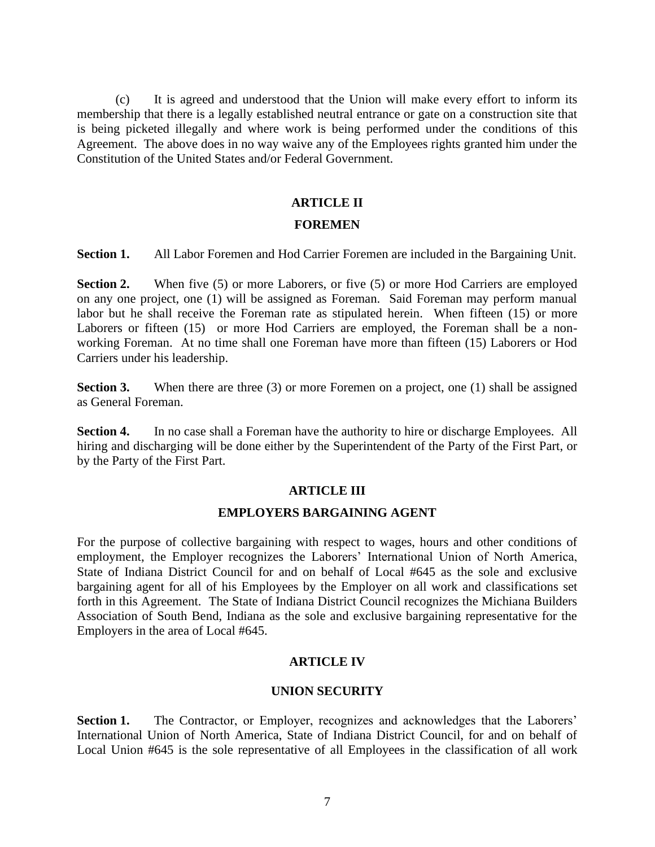(c) It is agreed and understood that the Union will make every effort to inform its membership that there is a legally established neutral entrance or gate on a construction site that is being picketed illegally and where work is being performed under the conditions of this Agreement. The above does in no way waive any of the Employees rights granted him under the Constitution of the United States and/or Federal Government.

# **ARTICLE II**

#### **FOREMEN**

**Section 1.** All Labor Foremen and Hod Carrier Foremen are included in the Bargaining Unit.

**Section 2.** When five (5) or more Laborers, or five (5) or more Hod Carriers are employed on any one project, one (1) will be assigned as Foreman. Said Foreman may perform manual labor but he shall receive the Foreman rate as stipulated herein. When fifteen (15) or more Laborers or fifteen (15) or more Hod Carriers are employed, the Foreman shall be a nonworking Foreman. At no time shall one Foreman have more than fifteen (15) Laborers or Hod Carriers under his leadership.

**Section 3.** When there are three (3) or more Foremen on a project, one (1) shall be assigned as General Foreman.

**Section 4.** In no case shall a Foreman have the authority to hire or discharge Employees. All hiring and discharging will be done either by the Superintendent of the Party of the First Part, or by the Party of the First Part.

#### **ARTICLE III**

### **EMPLOYERS BARGAINING AGENT**

For the purpose of collective bargaining with respect to wages, hours and other conditions of employment, the Employer recognizes the Laborers' International Union of North America, State of Indiana District Council for and on behalf of Local #645 as the sole and exclusive bargaining agent for all of his Employees by the Employer on all work and classifications set forth in this Agreement. The State of Indiana District Council recognizes the Michiana Builders Association of South Bend, Indiana as the sole and exclusive bargaining representative for the Employers in the area of Local #645.

#### **ARTICLE IV**

#### **UNION SECURITY**

**Section 1.** The Contractor, or Employer, recognizes and acknowledges that the Laborers' International Union of North America, State of Indiana District Council, for and on behalf of Local Union #645 is the sole representative of all Employees in the classification of all work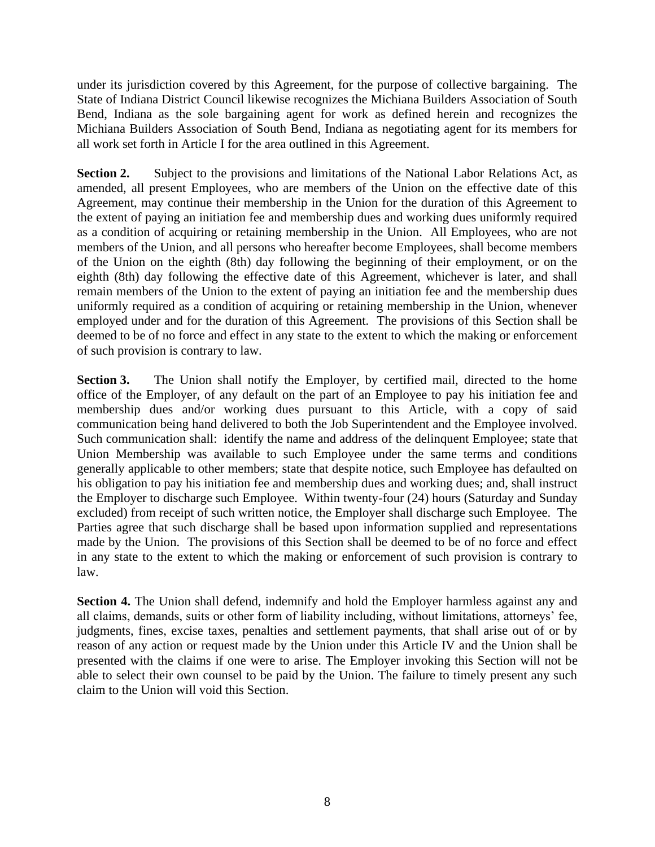under its jurisdiction covered by this Agreement, for the purpose of collective bargaining. The State of Indiana District Council likewise recognizes the Michiana Builders Association of South Bend, Indiana as the sole bargaining agent for work as defined herein and recognizes the Michiana Builders Association of South Bend, Indiana as negotiating agent for its members for all work set forth in Article I for the area outlined in this Agreement.

**Section 2.** Subject to the provisions and limitations of the National Labor Relations Act, as amended, all present Employees, who are members of the Union on the effective date of this Agreement, may continue their membership in the Union for the duration of this Agreement to the extent of paying an initiation fee and membership dues and working dues uniformly required as a condition of acquiring or retaining membership in the Union. All Employees, who are not members of the Union, and all persons who hereafter become Employees, shall become members of the Union on the eighth (8th) day following the beginning of their employment, or on the eighth (8th) day following the effective date of this Agreement, whichever is later, and shall remain members of the Union to the extent of paying an initiation fee and the membership dues uniformly required as a condition of acquiring or retaining membership in the Union, whenever employed under and for the duration of this Agreement. The provisions of this Section shall be deemed to be of no force and effect in any state to the extent to which the making or enforcement of such provision is contrary to law.

**Section 3.** The Union shall notify the Employer, by certified mail, directed to the home office of the Employer, of any default on the part of an Employee to pay his initiation fee and membership dues and/or working dues pursuant to this Article, with a copy of said communication being hand delivered to both the Job Superintendent and the Employee involved. Such communication shall: identify the name and address of the delinquent Employee; state that Union Membership was available to such Employee under the same terms and conditions generally applicable to other members; state that despite notice, such Employee has defaulted on his obligation to pay his initiation fee and membership dues and working dues; and, shall instruct the Employer to discharge such Employee. Within twenty-four (24) hours (Saturday and Sunday excluded) from receipt of such written notice, the Employer shall discharge such Employee. The Parties agree that such discharge shall be based upon information supplied and representations made by the Union. The provisions of this Section shall be deemed to be of no force and effect in any state to the extent to which the making or enforcement of such provision is contrary to law.

**Section 4.** The Union shall defend, indemnify and hold the Employer harmless against any and all claims, demands, suits or other form of liability including, without limitations, attorneys' fee, judgments, fines, excise taxes, penalties and settlement payments, that shall arise out of or by reason of any action or request made by the Union under this Article IV and the Union shall be presented with the claims if one were to arise. The Employer invoking this Section will not be able to select their own counsel to be paid by the Union. The failure to timely present any such claim to the Union will void this Section.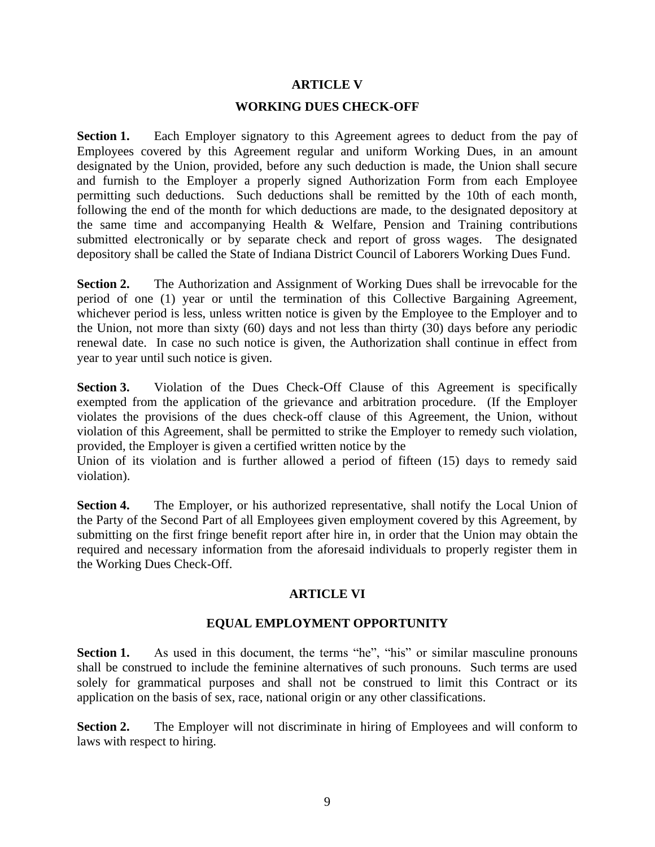# **ARTICLE V**

#### **WORKING DUES CHECK-OFF**

**Section 1.** Each Employer signatory to this Agreement agrees to deduct from the pay of Employees covered by this Agreement regular and uniform Working Dues, in an amount designated by the Union, provided, before any such deduction is made, the Union shall secure and furnish to the Employer a properly signed Authorization Form from each Employee permitting such deductions. Such deductions shall be remitted by the 10th of each month, following the end of the month for which deductions are made, to the designated depository at the same time and accompanying Health & Welfare, Pension and Training contributions submitted electronically or by separate check and report of gross wages. The designated depository shall be called the State of Indiana District Council of Laborers Working Dues Fund.

**Section 2.** The Authorization and Assignment of Working Dues shall be irrevocable for the period of one (1) year or until the termination of this Collective Bargaining Agreement, whichever period is less, unless written notice is given by the Employee to the Employer and to the Union, not more than sixty (60) days and not less than thirty (30) days before any periodic renewal date. In case no such notice is given, the Authorization shall continue in effect from year to year until such notice is given.

**Section 3.** Violation of the Dues Check-Off Clause of this Agreement is specifically exempted from the application of the grievance and arbitration procedure. (If the Employer violates the provisions of the dues check-off clause of this Agreement, the Union, without violation of this Agreement, shall be permitted to strike the Employer to remedy such violation, provided, the Employer is given a certified written notice by the

Union of its violation and is further allowed a period of fifteen (15) days to remedy said violation).

Section 4. The Employer, or his authorized representative, shall notify the Local Union of the Party of the Second Part of all Employees given employment covered by this Agreement, by submitting on the first fringe benefit report after hire in, in order that the Union may obtain the required and necessary information from the aforesaid individuals to properly register them in the Working Dues Check-Off.

# **ARTICLE VI**

# **EQUAL EMPLOYMENT OPPORTUNITY**

Section 1. As used in this document, the terms "he", "his" or similar masculine pronouns shall be construed to include the feminine alternatives of such pronouns. Such terms are used solely for grammatical purposes and shall not be construed to limit this Contract or its application on the basis of sex, race, national origin or any other classifications.

**Section 2.** The Employer will not discriminate in hiring of Employees and will conform to laws with respect to hiring.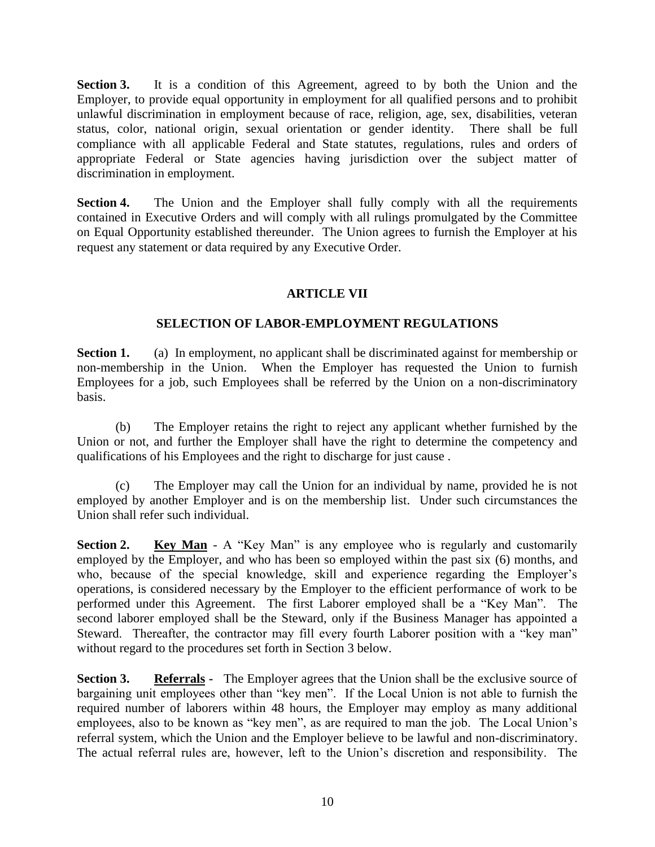**Section 3.** It is a condition of this Agreement, agreed to by both the Union and the Employer, to provide equal opportunity in employment for all qualified persons and to prohibit unlawful discrimination in employment because of race, religion, age, sex, disabilities, veteran status, color, national origin, sexual orientation or gender identity. There shall be full compliance with all applicable Federal and State statutes, regulations, rules and orders of appropriate Federal or State agencies having jurisdiction over the subject matter of discrimination in employment.

**Section 4.** The Union and the Employer shall fully comply with all the requirements contained in Executive Orders and will comply with all rulings promulgated by the Committee on Equal Opportunity established thereunder. The Union agrees to furnish the Employer at his request any statement or data required by any Executive Order.

# **ARTICLE VII**

# **SELECTION OF LABOR-EMPLOYMENT REGULATIONS**

**Section 1.** (a) In employment, no applicant shall be discriminated against for membership or non-membership in the Union. When the Employer has requested the Union to furnish Employees for a job, such Employees shall be referred by the Union on a non-discriminatory basis.

(b) The Employer retains the right to reject any applicant whether furnished by the Union or not, and further the Employer shall have the right to determine the competency and qualifications of his Employees and the right to discharge for just cause .

(c) The Employer may call the Union for an individual by name, provided he is not employed by another Employer and is on the membership list. Under such circumstances the Union shall refer such individual.

**Section 2. Key Man** - A "Key Man" is any employee who is regularly and customarily employed by the Employer, and who has been so employed within the past six (6) months, and who, because of the special knowledge, skill and experience regarding the Employer's operations, is considered necessary by the Employer to the efficient performance of work to be performed under this Agreement. The first Laborer employed shall be a "Key Man". The second laborer employed shall be the Steward, only if the Business Manager has appointed a Steward. Thereafter, the contractor may fill every fourth Laborer position with a "key man" without regard to the procedures set forth in Section 3 below.

**Section 3.** Referrals - The Employer agrees that the Union shall be the exclusive source of bargaining unit employees other than "key men". If the Local Union is not able to furnish the required number of laborers within 48 hours, the Employer may employ as many additional employees, also to be known as "key men", as are required to man the job. The Local Union's referral system, which the Union and the Employer believe to be lawful and non-discriminatory. The actual referral rules are, however, left to the Union's discretion and responsibility. The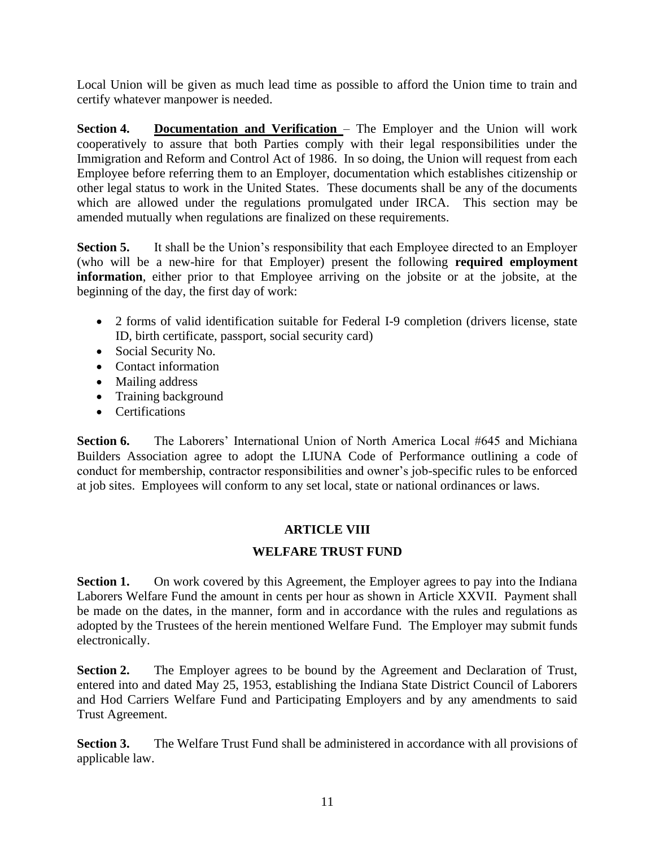Local Union will be given as much lead time as possible to afford the Union time to train and certify whatever manpower is needed.

**Section 4. Documentation and Verification** – The Employer and the Union will work cooperatively to assure that both Parties comply with their legal responsibilities under the Immigration and Reform and Control Act of 1986. In so doing, the Union will request from each Employee before referring them to an Employer, documentation which establishes citizenship or other legal status to work in the United States. These documents shall be any of the documents which are allowed under the regulations promulgated under IRCA. This section may be amended mutually when regulations are finalized on these requirements.

**Section 5.** It shall be the Union's responsibility that each Employee directed to an Employer (who will be a new-hire for that Employer) present the following **required employment information**, either prior to that Employee arriving on the jobsite or at the jobsite, at the beginning of the day, the first day of work:

- 2 forms of valid identification suitable for Federal I-9 completion (drivers license, state ID, birth certificate, passport, social security card)
- Social Security No.
- Contact information
- Mailing address
- Training background
- Certifications

**Section 6.** The Laborers' International Union of North America Local #645 and Michiana Builders Association agree to adopt the LIUNA Code of Performance outlining a code of conduct for membership, contractor responsibilities and owner's job-specific rules to be enforced at job sites. Employees will conform to any set local, state or national ordinances or laws.

# **ARTICLE VIII**

# **WELFARE TRUST FUND**

**Section 1.** On work covered by this Agreement, the Employer agrees to pay into the Indiana Laborers Welfare Fund the amount in cents per hour as shown in Article XXVII. Payment shall be made on the dates, in the manner, form and in accordance with the rules and regulations as adopted by the Trustees of the herein mentioned Welfare Fund. The Employer may submit funds electronically.

**Section 2.** The Employer agrees to be bound by the Agreement and Declaration of Trust, entered into and dated May 25, 1953, establishing the Indiana State District Council of Laborers and Hod Carriers Welfare Fund and Participating Employers and by any amendments to said Trust Agreement.

**Section 3.** The Welfare Trust Fund shall be administered in accordance with all provisions of applicable law.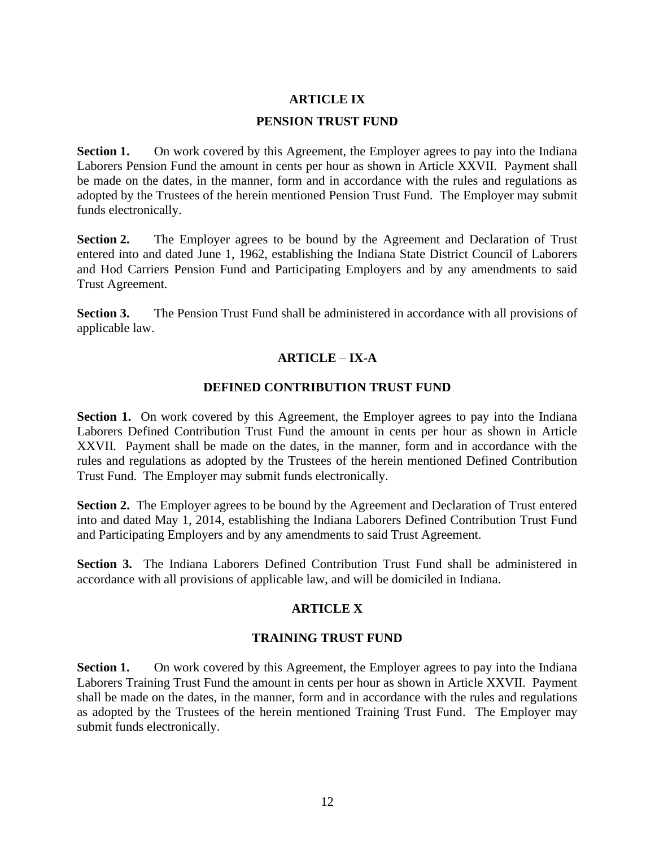# **ARTICLE IX**

#### **PENSION TRUST FUND**

**Section 1.** On work covered by this Agreement, the Employer agrees to pay into the Indiana Laborers Pension Fund the amount in cents per hour as shown in Article XXVII. Payment shall be made on the dates, in the manner, form and in accordance with the rules and regulations as adopted by the Trustees of the herein mentioned Pension Trust Fund. The Employer may submit funds electronically.

**Section 2.** The Employer agrees to be bound by the Agreement and Declaration of Trust entered into and dated June 1, 1962, establishing the Indiana State District Council of Laborers and Hod Carriers Pension Fund and Participating Employers and by any amendments to said Trust Agreement.

**Section 3.** The Pension Trust Fund shall be administered in accordance with all provisions of applicable law.

#### **ARTICLE** – **IX-A**

#### **DEFINED CONTRIBUTION TRUST FUND**

Section 1. On work covered by this Agreement, the Employer agrees to pay into the Indiana Laborers Defined Contribution Trust Fund the amount in cents per hour as shown in Article XXVII. Payment shall be made on the dates, in the manner, form and in accordance with the rules and regulations as adopted by the Trustees of the herein mentioned Defined Contribution Trust Fund. The Employer may submit funds electronically.

**Section 2.** The Employer agrees to be bound by the Agreement and Declaration of Trust entered into and dated May 1, 2014, establishing the Indiana Laborers Defined Contribution Trust Fund and Participating Employers and by any amendments to said Trust Agreement.

**Section 3.** The Indiana Laborers Defined Contribution Trust Fund shall be administered in accordance with all provisions of applicable law, and will be domiciled in Indiana.

# **ARTICLE X**

#### **TRAINING TRUST FUND**

**Section 1.** On work covered by this Agreement, the Employer agrees to pay into the Indiana Laborers Training Trust Fund the amount in cents per hour as shown in Article XXVII. Payment shall be made on the dates, in the manner, form and in accordance with the rules and regulations as adopted by the Trustees of the herein mentioned Training Trust Fund. The Employer may submit funds electronically.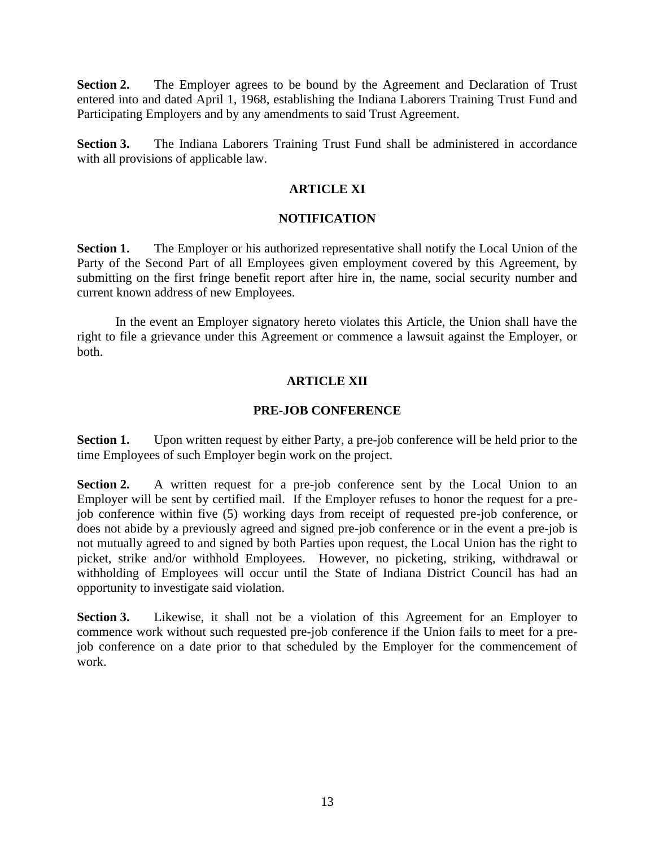**Section 2.** The Employer agrees to be bound by the Agreement and Declaration of Trust entered into and dated April 1, 1968, establishing the Indiana Laborers Training Trust Fund and Participating Employers and by any amendments to said Trust Agreement.

**Section 3.** The Indiana Laborers Training Trust Fund shall be administered in accordance with all provisions of applicable law.

# **ARTICLE XI**

# **NOTIFICATION**

**Section 1.** The Employer or his authorized representative shall notify the Local Union of the Party of the Second Part of all Employees given employment covered by this Agreement, by submitting on the first fringe benefit report after hire in, the name, social security number and current known address of new Employees.

In the event an Employer signatory hereto violates this Article, the Union shall have the right to file a grievance under this Agreement or commence a lawsuit against the Employer, or both.

# **ARTICLE XII**

#### **PRE-JOB CONFERENCE**

**Section 1.** Upon written request by either Party, a pre-job conference will be held prior to the time Employees of such Employer begin work on the project.

**Section 2.** A written request for a pre-job conference sent by the Local Union to an Employer will be sent by certified mail. If the Employer refuses to honor the request for a prejob conference within five (5) working days from receipt of requested pre-job conference, or does not abide by a previously agreed and signed pre-job conference or in the event a pre-job is not mutually agreed to and signed by both Parties upon request, the Local Union has the right to picket, strike and/or withhold Employees. However, no picketing, striking, withdrawal or withholding of Employees will occur until the State of Indiana District Council has had an opportunity to investigate said violation.

**Section 3.** Likewise, it shall not be a violation of this Agreement for an Employer to commence work without such requested pre-job conference if the Union fails to meet for a prejob conference on a date prior to that scheduled by the Employer for the commencement of work.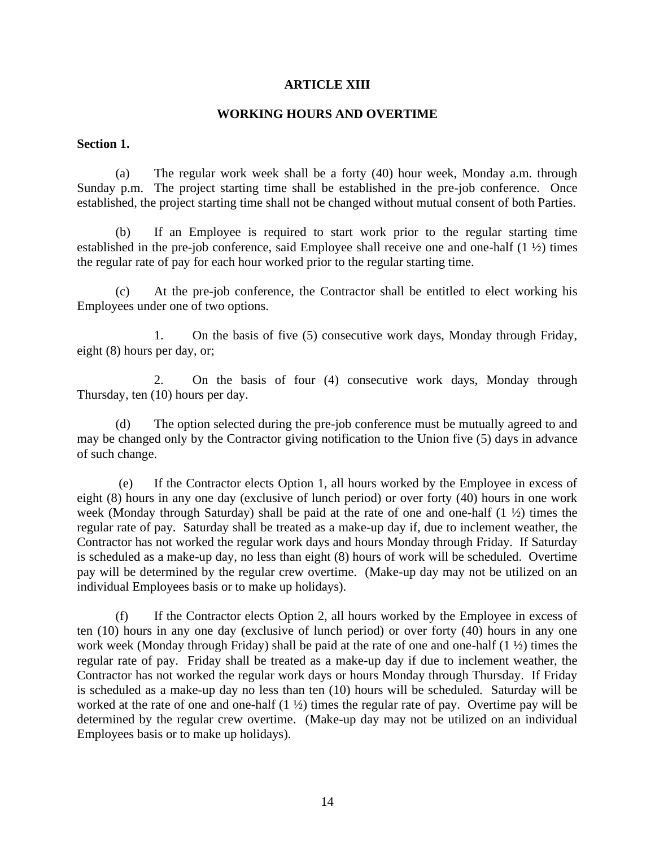#### **ARTICLE XIII**

#### **WORKING HOURS AND OVERTIME**

#### **Section 1.**

(a) The regular work week shall be a forty (40) hour week, Monday a.m. through Sunday p.m. The project starting time shall be established in the pre-job conference. Once established, the project starting time shall not be changed without mutual consent of both Parties.

(b) If an Employee is required to start work prior to the regular starting time established in the pre-job conference, said Employee shall receive one and one-half (1 ½) times the regular rate of pay for each hour worked prior to the regular starting time.

(c) At the pre-job conference, the Contractor shall be entitled to elect working his Employees under one of two options.

1. On the basis of five (5) consecutive work days, Monday through Friday, eight (8) hours per day, or;

2. On the basis of four (4) consecutive work days, Monday through Thursday, ten (10) hours per day.

(d) The option selected during the pre-job conference must be mutually agreed to and may be changed only by the Contractor giving notification to the Union five (5) days in advance of such change.

(e) If the Contractor elects Option 1, all hours worked by the Employee in excess of eight (8) hours in any one day (exclusive of lunch period) or over forty (40) hours in one work week (Monday through Saturday) shall be paid at the rate of one and one-half  $(1 \frac{1}{2})$  times the regular rate of pay. Saturday shall be treated as a make-up day if, due to inclement weather, the Contractor has not worked the regular work days and hours Monday through Friday. If Saturday is scheduled as a make-up day, no less than eight (8) hours of work will be scheduled. Overtime pay will be determined by the regular crew overtime. (Make-up day may not be utilized on an individual Employees basis or to make up holidays).

(f) If the Contractor elects Option 2, all hours worked by the Employee in excess of ten (10) hours in any one day (exclusive of lunch period) or over forty (40) hours in any one work week (Monday through Friday) shall be paid at the rate of one and one-half (1 ½) times the regular rate of pay. Friday shall be treated as a make-up day if due to inclement weather, the Contractor has not worked the regular work days or hours Monday through Thursday. If Friday is scheduled as a make-up day no less than ten (10) hours will be scheduled. Saturday will be worked at the rate of one and one-half  $(1 \frac{1}{2})$  times the regular rate of pay. Overtime pay will be determined by the regular crew overtime. (Make-up day may not be utilized on an individual Employees basis or to make up holidays).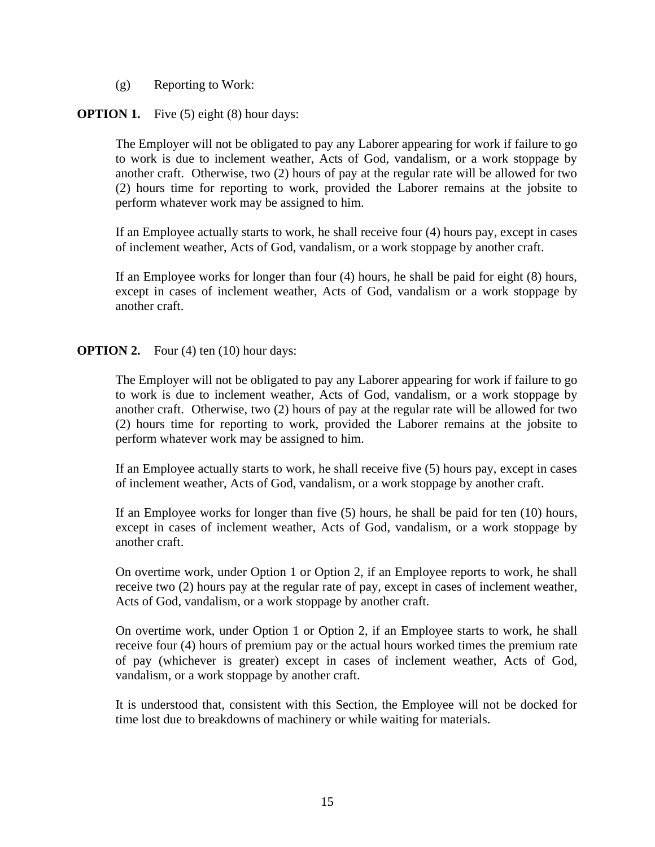(g) Reporting to Work:

# **OPTION 1.** Five (5) eight (8) hour days:

The Employer will not be obligated to pay any Laborer appearing for work if failure to go to work is due to inclement weather, Acts of God, vandalism, or a work stoppage by another craft. Otherwise, two (2) hours of pay at the regular rate will be allowed for two (2) hours time for reporting to work, provided the Laborer remains at the jobsite to perform whatever work may be assigned to him.

If an Employee actually starts to work, he shall receive four (4) hours pay, except in cases of inclement weather, Acts of God, vandalism, or a work stoppage by another craft.

If an Employee works for longer than four (4) hours, he shall be paid for eight (8) hours, except in cases of inclement weather, Acts of God, vandalism or a work stoppage by another craft.

# **OPTION 2.** Four (4) ten (10) hour days:

The Employer will not be obligated to pay any Laborer appearing for work if failure to go to work is due to inclement weather, Acts of God, vandalism, or a work stoppage by another craft. Otherwise, two (2) hours of pay at the regular rate will be allowed for two (2) hours time for reporting to work, provided the Laborer remains at the jobsite to perform whatever work may be assigned to him.

If an Employee actually starts to work, he shall receive five (5) hours pay, except in cases of inclement weather, Acts of God, vandalism, or a work stoppage by another craft.

If an Employee works for longer than five (5) hours, he shall be paid for ten (10) hours, except in cases of inclement weather, Acts of God, vandalism, or a work stoppage by another craft.

On overtime work, under Option 1 or Option 2, if an Employee reports to work, he shall receive two (2) hours pay at the regular rate of pay, except in cases of inclement weather, Acts of God, vandalism, or a work stoppage by another craft.

On overtime work, under Option 1 or Option 2, if an Employee starts to work, he shall receive four (4) hours of premium pay or the actual hours worked times the premium rate of pay (whichever is greater) except in cases of inclement weather, Acts of God, vandalism, or a work stoppage by another craft.

It is understood that, consistent with this Section, the Employee will not be docked for time lost due to breakdowns of machinery or while waiting for materials.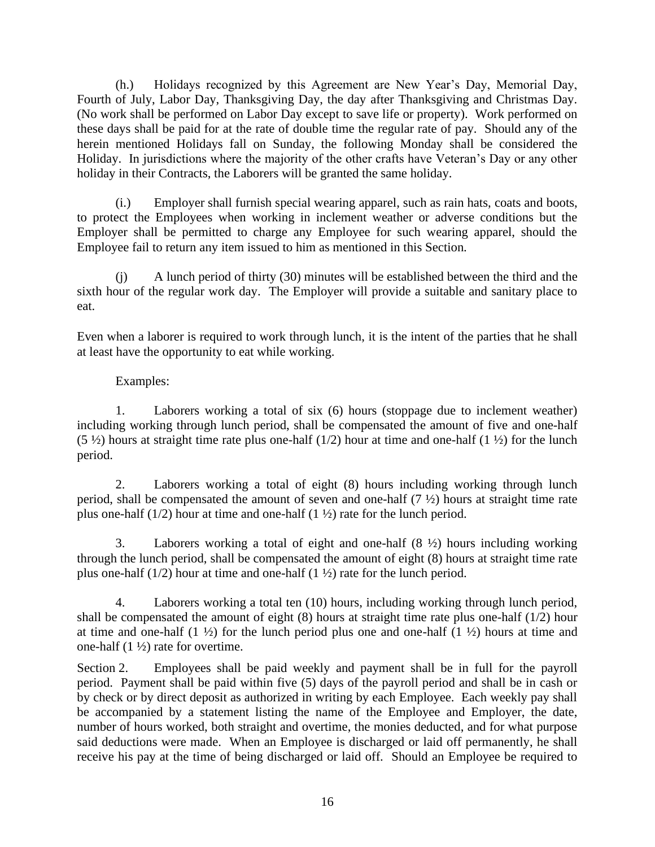(h.) Holidays recognized by this Agreement are New Year's Day, Memorial Day, Fourth of July, Labor Day, Thanksgiving Day, the day after Thanksgiving and Christmas Day. (No work shall be performed on Labor Day except to save life or property). Work performed on these days shall be paid for at the rate of double time the regular rate of pay. Should any of the herein mentioned Holidays fall on Sunday, the following Monday shall be considered the Holiday. In jurisdictions where the majority of the other crafts have Veteran's Day or any other holiday in their Contracts, the Laborers will be granted the same holiday.

(i.) Employer shall furnish special wearing apparel, such as rain hats, coats and boots, to protect the Employees when working in inclement weather or adverse conditions but the Employer shall be permitted to charge any Employee for such wearing apparel, should the Employee fail to return any item issued to him as mentioned in this Section.

(j) A lunch period of thirty (30) minutes will be established between the third and the sixth hour of the regular work day. The Employer will provide a suitable and sanitary place to eat.

Even when a laborer is required to work through lunch, it is the intent of the parties that he shall at least have the opportunity to eat while working.

# Examples:

1. Laborers working a total of six (6) hours (stoppage due to inclement weather) including working through lunch period, shall be compensated the amount of five and one-half (5  $\frac{1}{2}$ ) hours at straight time rate plus one-half (1/2) hour at time and one-half (1  $\frac{1}{2}$ ) for the lunch period.

2. Laborers working a total of eight (8) hours including working through lunch period, shall be compensated the amount of seven and one-half  $(7 \frac{1}{2})$  hours at straight time rate plus one-half  $(1/2)$  hour at time and one-half  $(1\frac{1}{2})$  rate for the lunch period.

3. Laborers working a total of eight and one-half (8 ½) hours including working through the lunch period, shall be compensated the amount of eight (8) hours at straight time rate plus one-half  $(1/2)$  hour at time and one-half  $(1\frac{1}{2})$  rate for the lunch period.

4. Laborers working a total ten (10) hours, including working through lunch period, shall be compensated the amount of eight (8) hours at straight time rate plus one-half (1/2) hour at time and one-half  $(1 \frac{1}{2})$  for the lunch period plus one and one-half  $(1 \frac{1}{2})$  hours at time and one-half  $(1 \frac{1}{2})$  rate for overtime.

Section 2. Employees shall be paid weekly and payment shall be in full for the payroll period. Payment shall be paid within five (5) days of the payroll period and shall be in cash or by check or by direct deposit as authorized in writing by each Employee. Each weekly pay shall be accompanied by a statement listing the name of the Employee and Employer, the date, number of hours worked, both straight and overtime, the monies deducted, and for what purpose said deductions were made. When an Employee is discharged or laid off permanently, he shall receive his pay at the time of being discharged or laid off. Should an Employee be required to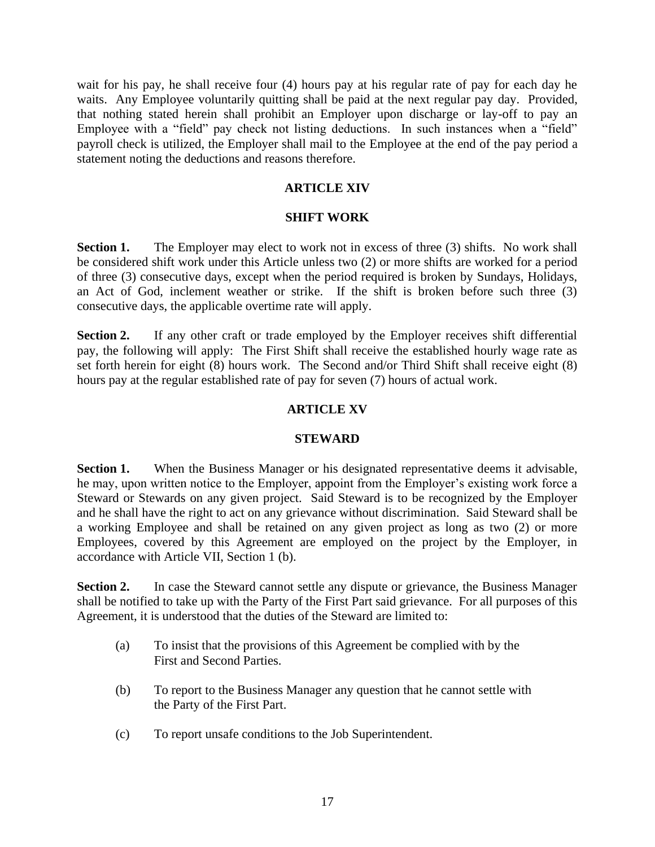wait for his pay, he shall receive four (4) hours pay at his regular rate of pay for each day he waits. Any Employee voluntarily quitting shall be paid at the next regular pay day. Provided, that nothing stated herein shall prohibit an Employer upon discharge or lay-off to pay an Employee with a "field" pay check not listing deductions. In such instances when a "field" payroll check is utilized, the Employer shall mail to the Employee at the end of the pay period a statement noting the deductions and reasons therefore.

## **ARTICLE XIV**

#### **SHIFT WORK**

**Section 1.** The Employer may elect to work not in excess of three (3) shifts. No work shall be considered shift work under this Article unless two (2) or more shifts are worked for a period of three (3) consecutive days, except when the period required is broken by Sundays, Holidays, an Act of God, inclement weather or strike. If the shift is broken before such three (3) consecutive days, the applicable overtime rate will apply.

**Section 2.** If any other craft or trade employed by the Employer receives shift differential pay, the following will apply: The First Shift shall receive the established hourly wage rate as set forth herein for eight (8) hours work. The Second and/or Third Shift shall receive eight (8) hours pay at the regular established rate of pay for seven (7) hours of actual work.

# **ARTICLE XV**

#### **STEWARD**

**Section 1.** When the Business Manager or his designated representative deems it advisable, he may, upon written notice to the Employer, appoint from the Employer's existing work force a Steward or Stewards on any given project. Said Steward is to be recognized by the Employer and he shall have the right to act on any grievance without discrimination. Said Steward shall be a working Employee and shall be retained on any given project as long as two (2) or more Employees, covered by this Agreement are employed on the project by the Employer, in accordance with Article VII, Section 1 (b).

**Section 2.** In case the Steward cannot settle any dispute or grievance, the Business Manager shall be notified to take up with the Party of the First Part said grievance. For all purposes of this Agreement, it is understood that the duties of the Steward are limited to:

- (a) To insist that the provisions of this Agreement be complied with by the First and Second Parties.
- (b) To report to the Business Manager any question that he cannot settle with the Party of the First Part.
- (c) To report unsafe conditions to the Job Superintendent.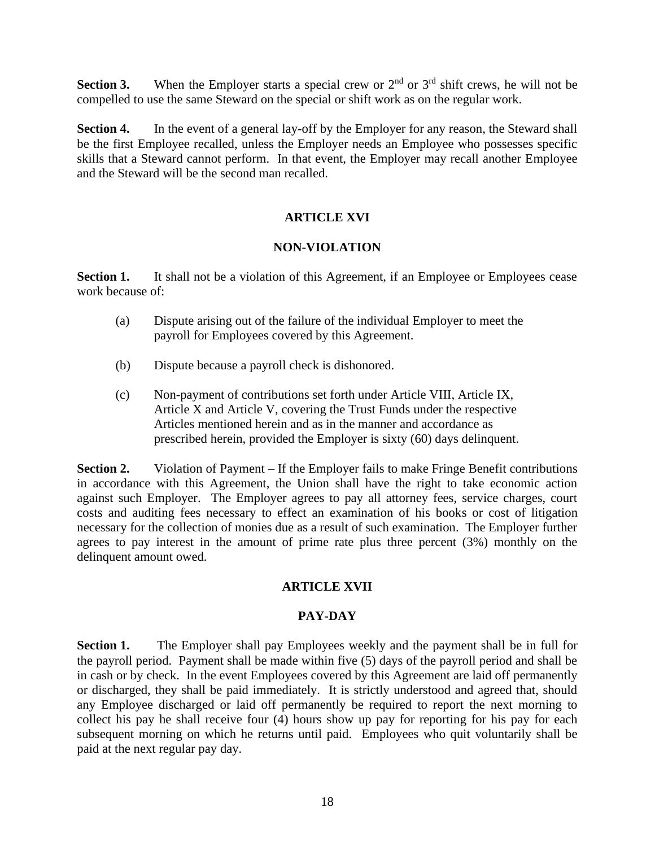**Section 3.** When the Employer starts a special crew or  $2<sup>nd</sup>$  or  $3<sup>rd</sup>$  shift crews, he will not be compelled to use the same Steward on the special or shift work as on the regular work.

**Section 4.** In the event of a general lay-off by the Employer for any reason, the Steward shall be the first Employee recalled, unless the Employer needs an Employee who possesses specific skills that a Steward cannot perform. In that event, the Employer may recall another Employee and the Steward will be the second man recalled.

# **ARTICLE XVI**

# **NON-VIOLATION**

**Section 1.** It shall not be a violation of this Agreement, if an Employee or Employees cease work because of:

- (a) Dispute arising out of the failure of the individual Employer to meet the payroll for Employees covered by this Agreement.
- (b) Dispute because a payroll check is dishonored.
- (c) Non-payment of contributions set forth under Article VIII, Article IX, Article X and Article V, covering the Trust Funds under the respective Articles mentioned herein and as in the manner and accordance as prescribed herein, provided the Employer is sixty (60) days delinquent.

**Section 2.** Violation of Payment – If the Employer fails to make Fringe Benefit contributions in accordance with this Agreement, the Union shall have the right to take economic action against such Employer. The Employer agrees to pay all attorney fees, service charges, court costs and auditing fees necessary to effect an examination of his books or cost of litigation necessary for the collection of monies due as a result of such examination. The Employer further agrees to pay interest in the amount of prime rate plus three percent (3%) monthly on the delinquent amount owed.

# **ARTICLE XVII**

# **PAY-DAY**

**Section 1.** The Employer shall pay Employees weekly and the payment shall be in full for the payroll period. Payment shall be made within five (5) days of the payroll period and shall be in cash or by check. In the event Employees covered by this Agreement are laid off permanently or discharged, they shall be paid immediately. It is strictly understood and agreed that, should any Employee discharged or laid off permanently be required to report the next morning to collect his pay he shall receive four (4) hours show up pay for reporting for his pay for each subsequent morning on which he returns until paid. Employees who quit voluntarily shall be paid at the next regular pay day.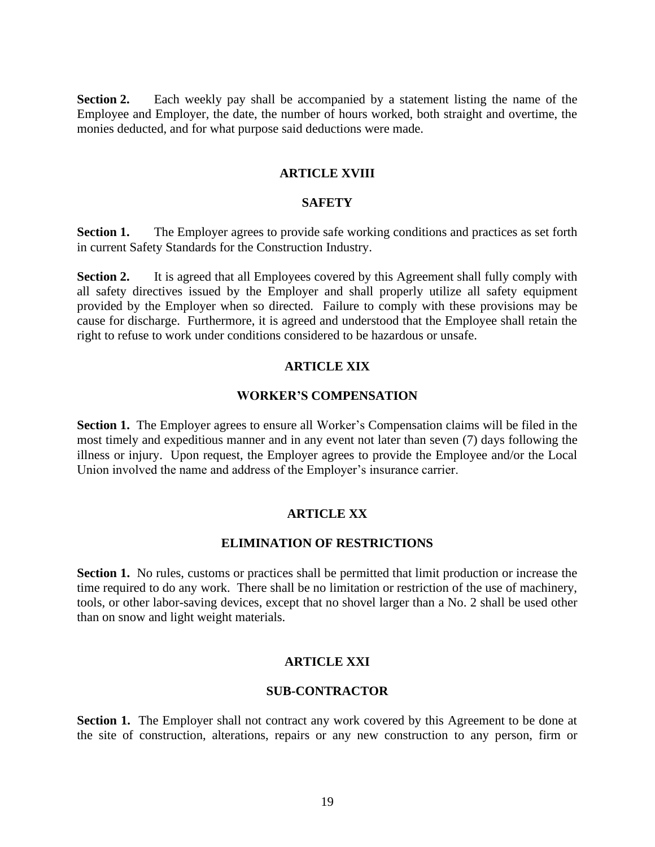**Section 2.** Each weekly pay shall be accompanied by a statement listing the name of the Employee and Employer, the date, the number of hours worked, both straight and overtime, the monies deducted, and for what purpose said deductions were made.

## **ARTICLE XVIII**

# **SAFETY**

**Section 1.** The Employer agrees to provide safe working conditions and practices as set forth in current Safety Standards for the Construction Industry.

**Section 2.** It is agreed that all Employees covered by this Agreement shall fully comply with all safety directives issued by the Employer and shall properly utilize all safety equipment provided by the Employer when so directed. Failure to comply with these provisions may be cause for discharge. Furthermore, it is agreed and understood that the Employee shall retain the right to refuse to work under conditions considered to be hazardous or unsafe.

#### **ARTICLE XIX**

#### **WORKER'S COMPENSATION**

**Section 1.** The Employer agrees to ensure all Worker's Compensation claims will be filed in the most timely and expeditious manner and in any event not later than seven (7) days following the illness or injury. Upon request, the Employer agrees to provide the Employee and/or the Local Union involved the name and address of the Employer's insurance carrier.

# **ARTICLE XX**

## **ELIMINATION OF RESTRICTIONS**

**Section 1.** No rules, customs or practices shall be permitted that limit production or increase the time required to do any work. There shall be no limitation or restriction of the use of machinery, tools, or other labor-saving devices, except that no shovel larger than a No. 2 shall be used other than on snow and light weight materials.

#### **ARTICLE XXI**

#### **SUB-CONTRACTOR**

**Section 1.** The Employer shall not contract any work covered by this Agreement to be done at the site of construction, alterations, repairs or any new construction to any person, firm or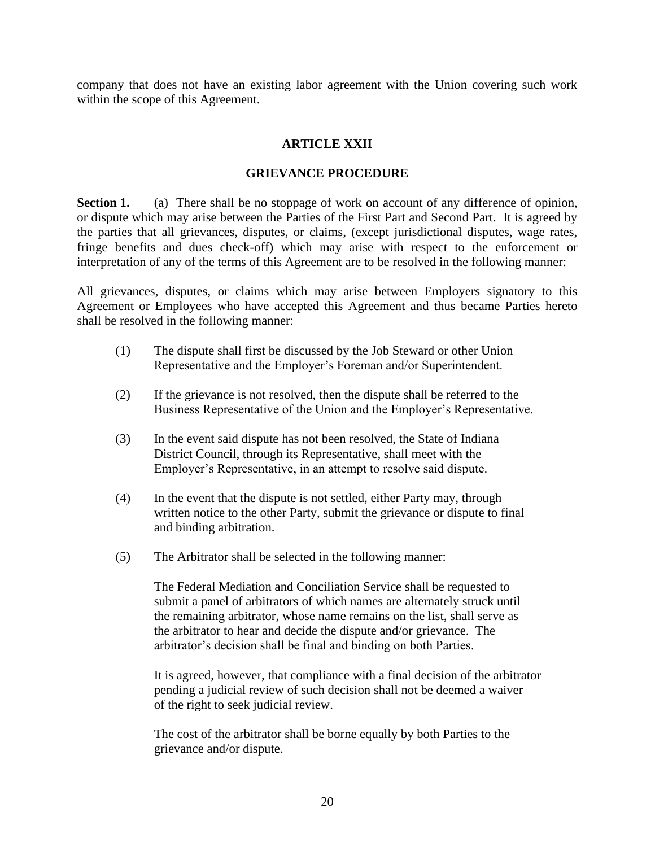company that does not have an existing labor agreement with the Union covering such work within the scope of this Agreement.

# **ARTICLE XXII**

#### **GRIEVANCE PROCEDURE**

**Section 1.** (a) There shall be no stoppage of work on account of any difference of opinion, or dispute which may arise between the Parties of the First Part and Second Part. It is agreed by the parties that all grievances, disputes, or claims, (except jurisdictional disputes, wage rates, fringe benefits and dues check-off) which may arise with respect to the enforcement or interpretation of any of the terms of this Agreement are to be resolved in the following manner:

All grievances, disputes, or claims which may arise between Employers signatory to this Agreement or Employees who have accepted this Agreement and thus became Parties hereto shall be resolved in the following manner:

- (1) The dispute shall first be discussed by the Job Steward or other Union Representative and the Employer's Foreman and/or Superintendent.
- (2) If the grievance is not resolved, then the dispute shall be referred to the Business Representative of the Union and the Employer's Representative.
- (3) In the event said dispute has not been resolved, the State of Indiana District Council, through its Representative, shall meet with the Employer's Representative, in an attempt to resolve said dispute.
- (4) In the event that the dispute is not settled, either Party may, through written notice to the other Party, submit the grievance or dispute to final and binding arbitration.
- (5) The Arbitrator shall be selected in the following manner:

The Federal Mediation and Conciliation Service shall be requested to submit a panel of arbitrators of which names are alternately struck until the remaining arbitrator, whose name remains on the list, shall serve as the arbitrator to hear and decide the dispute and/or grievance. The arbitrator's decision shall be final and binding on both Parties.

It is agreed, however, that compliance with a final decision of the arbitrator pending a judicial review of such decision shall not be deemed a waiver of the right to seek judicial review.

The cost of the arbitrator shall be borne equally by both Parties to the grievance and/or dispute.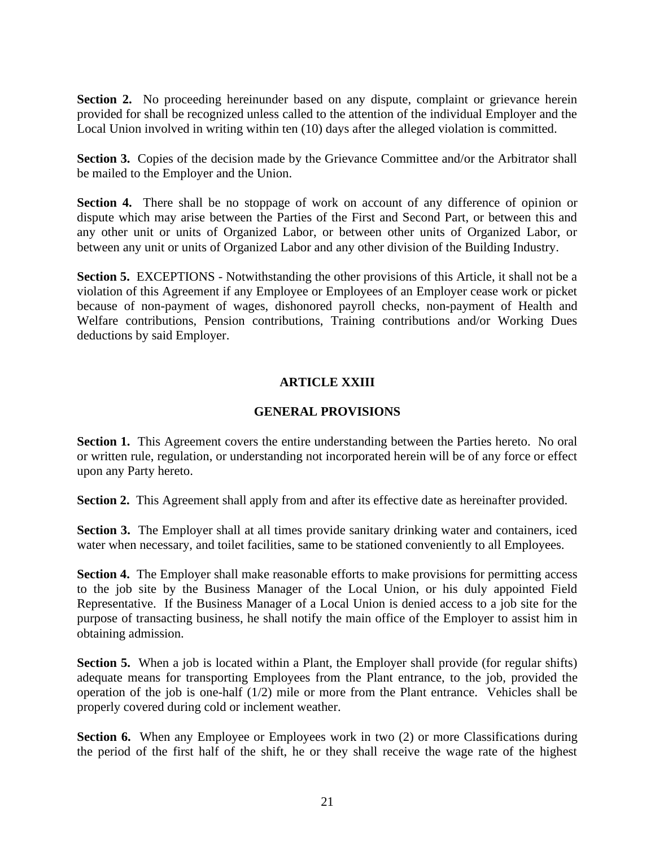Section 2. No proceeding hereinunder based on any dispute, complaint or grievance herein provided for shall be recognized unless called to the attention of the individual Employer and the Local Union involved in writing within ten (10) days after the alleged violation is committed.

**Section 3.** Copies of the decision made by the Grievance Committee and/or the Arbitrator shall be mailed to the Employer and the Union.

**Section 4.** There shall be no stoppage of work on account of any difference of opinion or dispute which may arise between the Parties of the First and Second Part, or between this and any other unit or units of Organized Labor, or between other units of Organized Labor, or between any unit or units of Organized Labor and any other division of the Building Industry.

**Section 5.** EXCEPTIONS - Notwithstanding the other provisions of this Article, it shall not be a violation of this Agreement if any Employee or Employees of an Employer cease work or picket because of non-payment of wages, dishonored payroll checks, non-payment of Health and Welfare contributions, Pension contributions, Training contributions and/or Working Dues deductions by said Employer.

# **ARTICLE XXIII**

# **GENERAL PROVISIONS**

**Section 1.** This Agreement covers the entire understanding between the Parties hereto. No oral or written rule, regulation, or understanding not incorporated herein will be of any force or effect upon any Party hereto.

**Section 2.** This Agreement shall apply from and after its effective date as hereinafter provided.

**Section 3.** The Employer shall at all times provide sanitary drinking water and containers, iced water when necessary, and toilet facilities, same to be stationed conveniently to all Employees.

**Section 4.** The Employer shall make reasonable efforts to make provisions for permitting access to the job site by the Business Manager of the Local Union, or his duly appointed Field Representative. If the Business Manager of a Local Union is denied access to a job site for the purpose of transacting business, he shall notify the main office of the Employer to assist him in obtaining admission.

**Section 5.** When a job is located within a Plant, the Employer shall provide (for regular shifts) adequate means for transporting Employees from the Plant entrance, to the job, provided the operation of the job is one-half (1/2) mile or more from the Plant entrance. Vehicles shall be properly covered during cold or inclement weather.

**Section 6.** When any Employee or Employees work in two (2) or more Classifications during the period of the first half of the shift, he or they shall receive the wage rate of the highest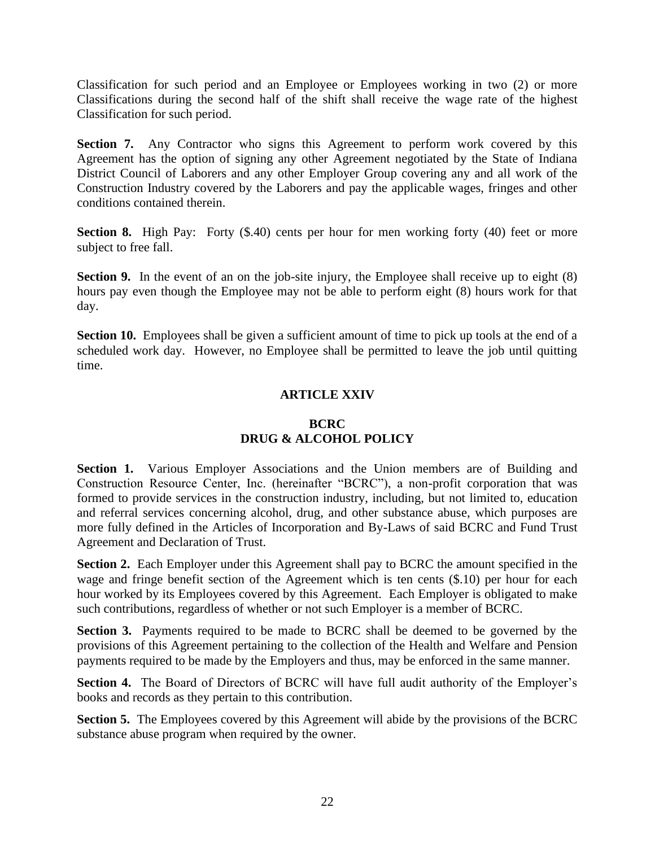Classification for such period and an Employee or Employees working in two (2) or more Classifications during the second half of the shift shall receive the wage rate of the highest Classification for such period.

**Section 7.** Any Contractor who signs this Agreement to perform work covered by this Agreement has the option of signing any other Agreement negotiated by the State of Indiana District Council of Laborers and any other Employer Group covering any and all work of the Construction Industry covered by the Laborers and pay the applicable wages, fringes and other conditions contained therein.

**Section 8.** High Pay: Forty (\$.40) cents per hour for men working forty (40) feet or more subject to free fall.

**Section 9.** In the event of an on the job-site injury, the Employee shall receive up to eight (8) hours pay even though the Employee may not be able to perform eight (8) hours work for that day.

**Section 10.** Employees shall be given a sufficient amount of time to pick up tools at the end of a scheduled work day. However, no Employee shall be permitted to leave the job until quitting time.

# **ARTICLE XXIV**

# **BCRC DRUG & ALCOHOL POLICY**

**Section 1.** Various Employer Associations and the Union members are of Building and Construction Resource Center, Inc. (hereinafter "BCRC"), a non-profit corporation that was formed to provide services in the construction industry, including, but not limited to, education and referral services concerning alcohol, drug, and other substance abuse, which purposes are more fully defined in the Articles of Incorporation and By-Laws of said BCRC and Fund Trust Agreement and Declaration of Trust.

**Section 2.** Each Employer under this Agreement shall pay to BCRC the amount specified in the wage and fringe benefit section of the Agreement which is ten cents (\$.10) per hour for each hour worked by its Employees covered by this Agreement. Each Employer is obligated to make such contributions, regardless of whether or not such Employer is a member of BCRC.

**Section 3.** Payments required to be made to BCRC shall be deemed to be governed by the provisions of this Agreement pertaining to the collection of the Health and Welfare and Pension payments required to be made by the Employers and thus, may be enforced in the same manner.

**Section 4.** The Board of Directors of BCRC will have full audit authority of the Employer's books and records as they pertain to this contribution.

**Section 5.** The Employees covered by this Agreement will abide by the provisions of the BCRC substance abuse program when required by the owner.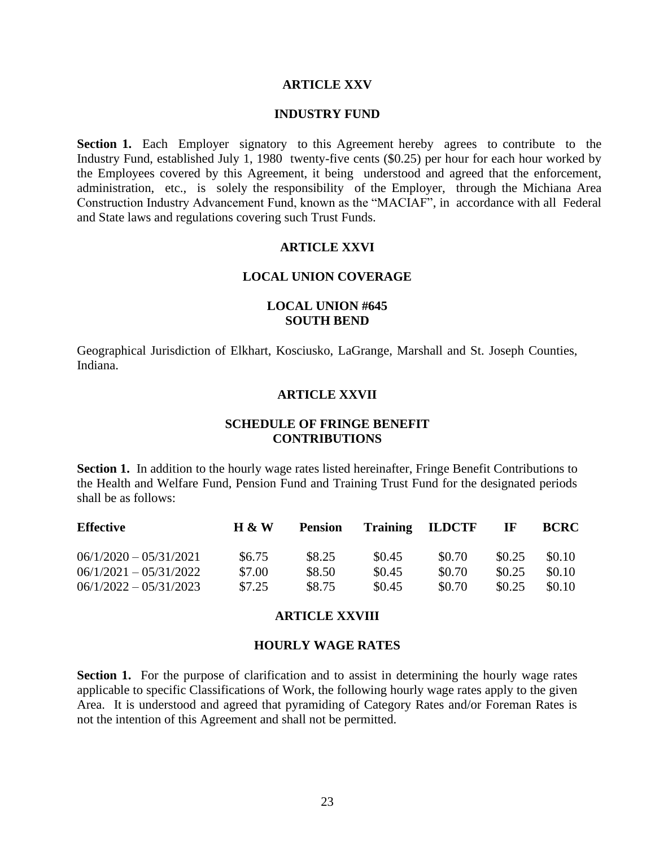#### **ARTICLE XXV**

#### **INDUSTRY FUND**

**Section 1.** Each Employer signatory to this Agreement hereby agrees to contribute to the Industry Fund, established July 1, 1980 twenty-five cents (\$0.25) per hour for each hour worked by the Employees covered by this Agreement, it being understood and agreed that the enforcement, administration, etc., is solely the responsibility of the Employer, through the Michiana Area Construction Industry Advancement Fund, known as the "MACIAF", in accordance with all Federal and State laws and regulations covering such Trust Funds.

## **ARTICLE XXVI**

#### **LOCAL UNION COVERAGE**

## **LOCAL UNION #645 SOUTH BEND**

Geographical Jurisdiction of Elkhart, Kosciusko, LaGrange, Marshall and St. Joseph Counties, Indiana.

# **ARTICLE XXVII**

# **SCHEDULE OF FRINGE BENEFIT CONTRIBUTIONS**

**Section 1.** In addition to the hourly wage rates listed hereinafter, Fringe Benefit Contributions to the Health and Welfare Fund, Pension Fund and Training Trust Fund for the designated periods shall be as follows:

| <b>Effective</b>         | $H \& W$ | <b>Pension</b> |        | <b>Training ILDCTF</b> | -IF    | <b>BCRC</b> |
|--------------------------|----------|----------------|--------|------------------------|--------|-------------|
| $06/1/2020 - 05/31/2021$ | \$6.75   | \$8.25         | \$0.45 | \$0.70                 | \$0.25 | \$0.10      |
| $06/1/2021 - 05/31/2022$ | \$7.00   | \$8.50         | \$0.45 | \$0.70                 | \$0.25 | \$0.10      |
| $06/1/2022 - 05/31/2023$ | \$7.25   | \$8.75         | \$0.45 | \$0.70                 | \$0.25 | \$0.10      |

#### **ARTICLE XXVIII**

#### **HOURLY WAGE RATES**

**Section 1.** For the purpose of clarification and to assist in determining the hourly wage rates applicable to specific Classifications of Work, the following hourly wage rates apply to the given Area. It is understood and agreed that pyramiding of Category Rates and/or Foreman Rates is not the intention of this Agreement and shall not be permitted.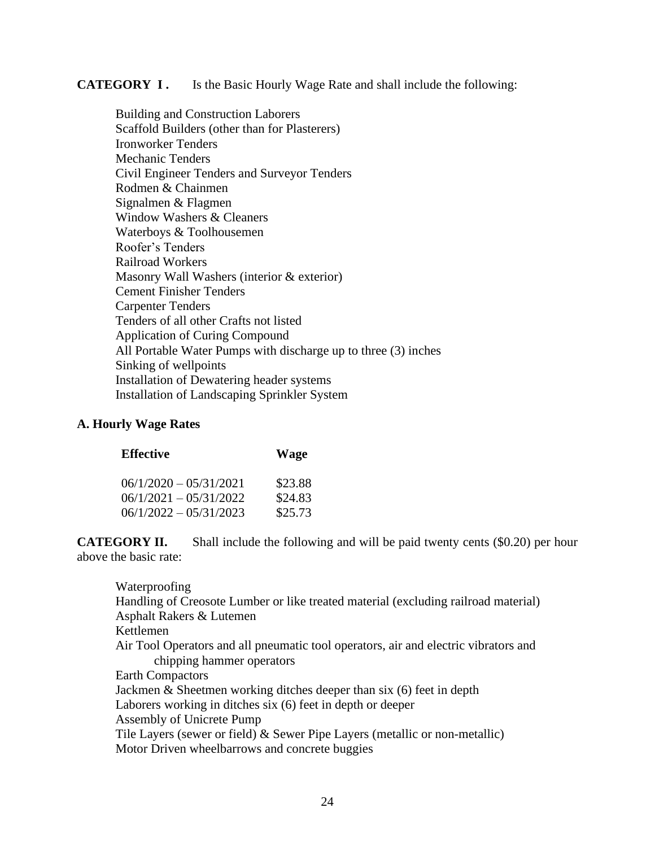**CATEGORY I .** Is the Basic Hourly Wage Rate and shall include the following:

Building and Construction Laborers Scaffold Builders (other than for Plasterers) Ironworker Tenders Mechanic Tenders Civil Engineer Tenders and Surveyor Tenders Rodmen & Chainmen Signalmen & Flagmen Window Washers & Cleaners Waterboys & Toolhousemen Roofer's Tenders Railroad Workers Masonry Wall Washers (interior & exterior) Cement Finisher Tenders Carpenter Tenders Tenders of all other Crafts not listed Application of Curing Compound All Portable Water Pumps with discharge up to three (3) inches Sinking of wellpoints Installation of Dewatering header systems Installation of Landscaping Sprinkler System

# **A. Hourly Wage Rates**

| <b>Effective</b>                                     | <b>Wage</b>        |
|------------------------------------------------------|--------------------|
| $06/1/2020 - 05/31/2021$<br>$06/1/2021 - 05/31/2022$ | \$23.88<br>\$24.83 |
| $06/1/2022 - 05/31/2023$                             | \$25.73            |

**CATEGORY II.** Shall include the following and will be paid twenty cents (\$0.20) per hour above the basic rate:

# Waterproofing Handling of Creosote Lumber or like treated material (excluding railroad material) Asphalt Rakers & Lutemen Kettlemen Air Tool Operators and all pneumatic tool operators, air and electric vibrators and chipping hammer operators Earth Compactors Jackmen & Sheetmen working ditches deeper than six (6) feet in depth Laborers working in ditches six (6) feet in depth or deeper Assembly of Unicrete Pump Tile Layers (sewer or field) & Sewer Pipe Layers (metallic or non-metallic) Motor Driven wheelbarrows and concrete buggies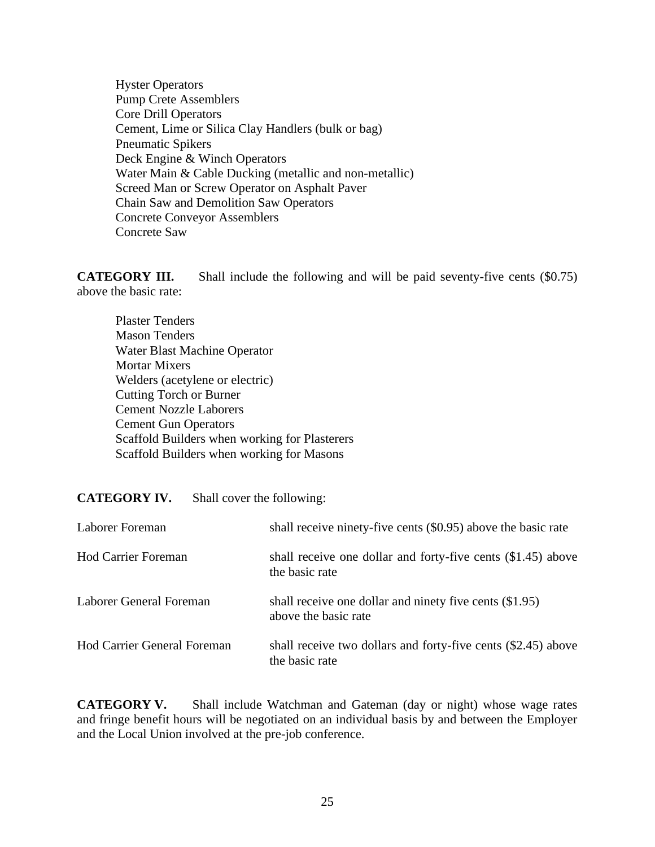Hyster Operators Pump Crete Assemblers Core Drill Operators Cement, Lime or Silica Clay Handlers (bulk or bag) Pneumatic Spikers Deck Engine & Winch Operators Water Main & Cable Ducking (metallic and non-metallic) Screed Man or Screw Operator on Asphalt Paver Chain Saw and Demolition Saw Operators Concrete Conveyor Assemblers Concrete Saw

**CATEGORY III.** Shall include the following and will be paid seventy-five cents (\$0.75) above the basic rate:

Plaster Tenders Mason Tenders Water Blast Machine Operator Mortar Mixers Welders (acetylene or electric) Cutting Torch or Burner Cement Nozzle Laborers Cement Gun Operators Scaffold Builders when working for Plasterers Scaffold Builders when working for Masons

**CATEGORY IV.** Shall cover the following:

| Laborer Foreman                    | shall receive ninety-five cents (\$0.95) above the basic rate                   |
|------------------------------------|---------------------------------------------------------------------------------|
| <b>Hod Carrier Foreman</b>         | shall receive one dollar and forty-five cents (\$1.45) above<br>the basic rate  |
| Laborer General Foreman            | shall receive one dollar and ninety five cents (\$1.95)<br>above the basic rate |
| <b>Hod Carrier General Foreman</b> | shall receive two dollars and forty-five cents (\$2.45) above<br>the basic rate |

**CATEGORY V.** Shall include Watchman and Gateman (day or night) whose wage rates and fringe benefit hours will be negotiated on an individual basis by and between the Employer and the Local Union involved at the pre-job conference.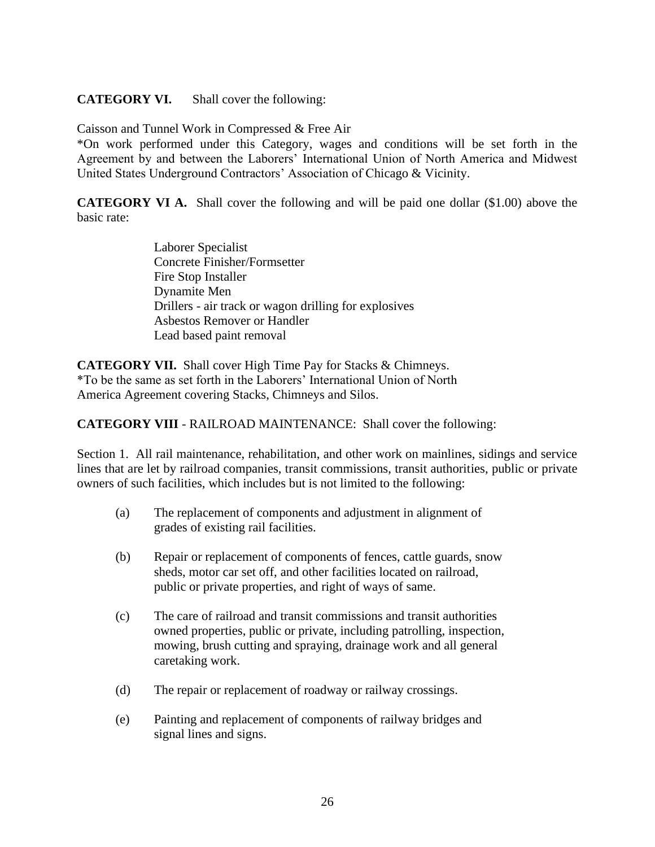# **CATEGORY VI.** Shall cover the following:

Caisson and Tunnel Work in Compressed & Free Air

\*On work performed under this Category, wages and conditions will be set forth in the Agreement by and between the Laborers' International Union of North America and Midwest United States Underground Contractors' Association of Chicago & Vicinity.

**CATEGORY VI A.** Shall cover the following and will be paid one dollar (\$1.00) above the basic rate:

> Laborer Specialist Concrete Finisher/Formsetter Fire Stop Installer Dynamite Men Drillers - air track or wagon drilling for explosives Asbestos Remover or Handler Lead based paint removal

**CATEGORY VII.** Shall cover High Time Pay for Stacks & Chimneys. \*To be the same as set forth in the Laborers' International Union of North America Agreement covering Stacks, Chimneys and Silos.

**CATEGORY VIII** - RAILROAD MAINTENANCE: Shall cover the following:

Section 1. All rail maintenance, rehabilitation, and other work on mainlines, sidings and service lines that are let by railroad companies, transit commissions, transit authorities, public or private owners of such facilities, which includes but is not limited to the following:

- (a) The replacement of components and adjustment in alignment of grades of existing rail facilities.
- (b) Repair or replacement of components of fences, cattle guards, snow sheds, motor car set off, and other facilities located on railroad, public or private properties, and right of ways of same.
- (c) The care of railroad and transit commissions and transit authorities owned properties, public or private, including patrolling, inspection, mowing, brush cutting and spraying, drainage work and all general caretaking work.
- (d) The repair or replacement of roadway or railway crossings.
- (e) Painting and replacement of components of railway bridges and signal lines and signs.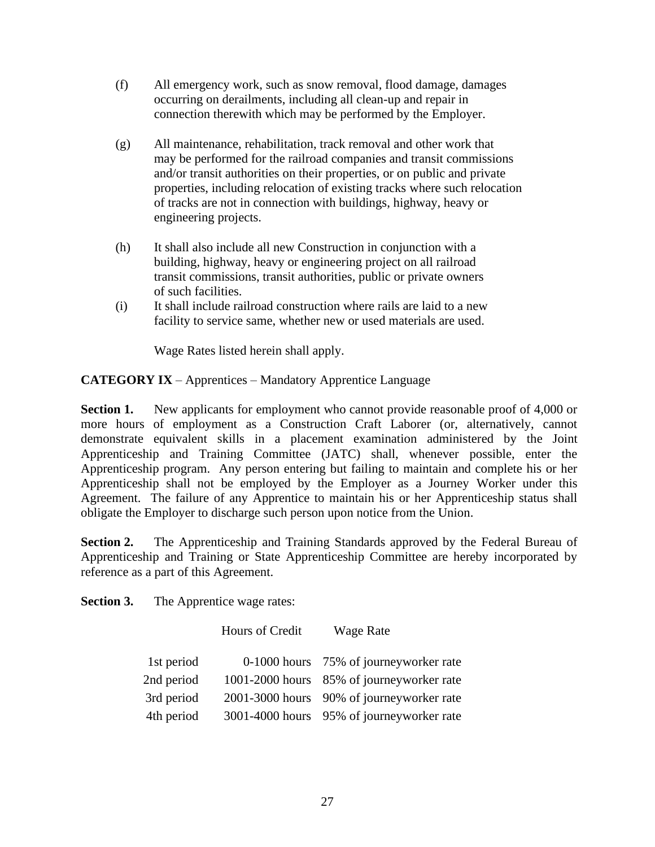- (f) All emergency work, such as snow removal, flood damage, damages occurring on derailments, including all clean-up and repair in connection therewith which may be performed by the Employer.
- (g) All maintenance, rehabilitation, track removal and other work that may be performed for the railroad companies and transit commissions and/or transit authorities on their properties, or on public and private properties, including relocation of existing tracks where such relocation of tracks are not in connection with buildings, highway, heavy or engineering projects.
- (h) It shall also include all new Construction in conjunction with a building, highway, heavy or engineering project on all railroad transit commissions, transit authorities, public or private owners of such facilities.
- (i) It shall include railroad construction where rails are laid to a new facility to service same, whether new or used materials are used.

Wage Rates listed herein shall apply.

**CATEGORY IX** – Apprentices – Mandatory Apprentice Language

**Section 1.** New applicants for employment who cannot provide reasonable proof of 4,000 or more hours of employment as a Construction Craft Laborer (or, alternatively, cannot demonstrate equivalent skills in a placement examination administered by the Joint Apprenticeship and Training Committee (JATC) shall, whenever possible, enter the Apprenticeship program. Any person entering but failing to maintain and complete his or her Apprenticeship shall not be employed by the Employer as a Journey Worker under this Agreement. The failure of any Apprentice to maintain his or her Apprenticeship status shall obligate the Employer to discharge such person upon notice from the Union.

**Section 2.** The Apprenticeship and Training Standards approved by the Federal Bureau of Apprenticeship and Training or State Apprenticeship Committee are hereby incorporated by reference as a part of this Agreement.

**Section 3.** The Apprentice wage rates:

|            | Hours of Credit | <b>Wage Rate</b>                          |
|------------|-----------------|-------------------------------------------|
| 1st period |                 | 0-1000 hours 75% of journeyworker rate    |
| 2nd period |                 | 1001-2000 hours 85% of journeyworker rate |
| 3rd period |                 | 2001-3000 hours 90% of journeyworker rate |
| 4th period |                 | 3001-4000 hours 95% of journeyworker rate |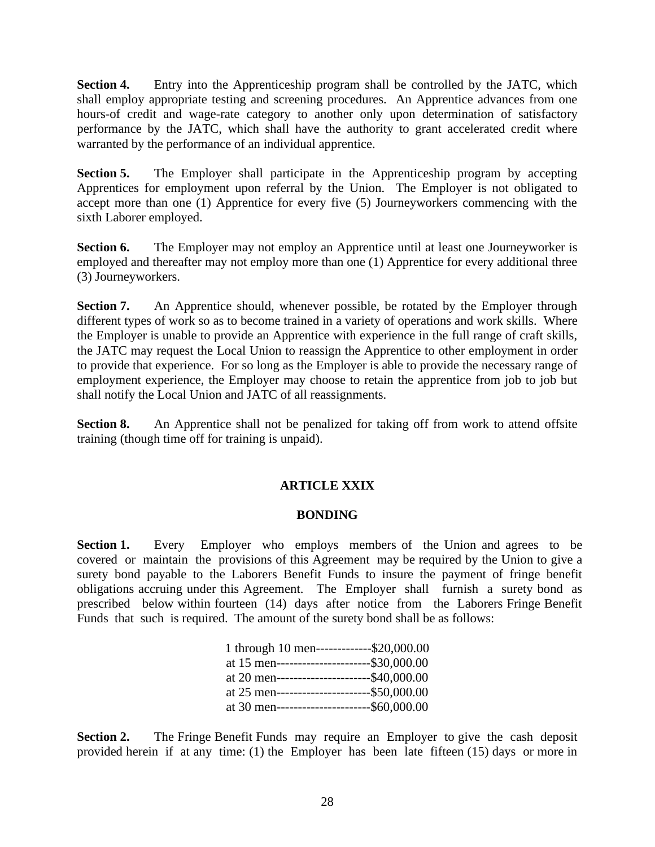**Section 4.** Entry into the Apprenticeship program shall be controlled by the JATC, which shall employ appropriate testing and screening procedures. An Apprentice advances from one hours-of credit and wage-rate category to another only upon determination of satisfactory performance by the JATC, which shall have the authority to grant accelerated credit where warranted by the performance of an individual apprentice.

**Section 5.** The Employer shall participate in the Apprenticeship program by accepting Apprentices for employment upon referral by the Union. The Employer is not obligated to accept more than one (1) Apprentice for every five (5) Journeyworkers commencing with the sixth Laborer employed.

**Section 6.** The Employer may not employ an Apprentice until at least one Journeyworker is employed and thereafter may not employ more than one (1) Apprentice for every additional three (3) Journeyworkers.

**Section 7.** An Apprentice should, whenever possible, be rotated by the Employer through different types of work so as to become trained in a variety of operations and work skills. Where the Employer is unable to provide an Apprentice with experience in the full range of craft skills, the JATC may request the Local Union to reassign the Apprentice to other employment in order to provide that experience. For so long as the Employer is able to provide the necessary range of employment experience, the Employer may choose to retain the apprentice from job to job but shall notify the Local Union and JATC of all reassignments.

**Section 8.** An Apprentice shall not be penalized for taking off from work to attend offsite training (though time off for training is unpaid).

# **ARTICLE XXIX**

# **BONDING**

**Section 1.** Every Employer who employs members of the Union and agrees to be covered or maintain the provisions of this Agreement may be required by the Union to give a surety bond payable to the Laborers Benefit Funds to insure the payment of fringe benefit obligations accruing under this Agreement. The Employer shall furnish a surety bond as prescribed below within fourteen (14) days after notice from the Laborers Fringe Benefit Funds that such is required. The amount of the surety bond shall be as follows:

| 1 through 10 men-------------\$20,000.00     |  |
|----------------------------------------------|--|
| at 15 men-----------------------\$30,000.00  |  |
| at 20 men-----------------------\$40,000.00  |  |
| at 25 men------------------------\$50,000.00 |  |
| at 30 men------------------------\$60,000.00 |  |

**Section 2.** The Fringe Benefit Funds may require an Employer to give the cash deposit provided herein if at any time: (1) the Employer has been late fifteen (15) days or more in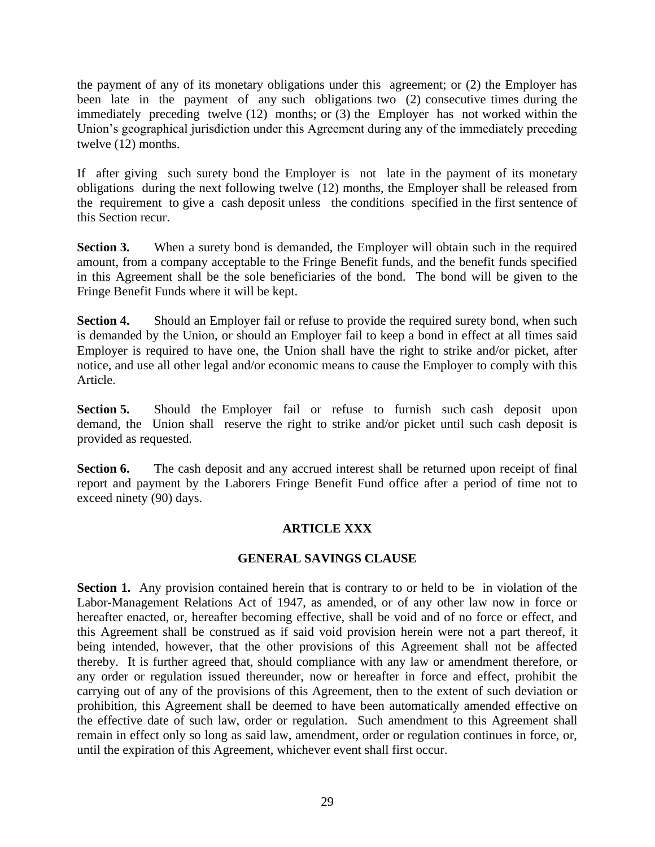the payment of any of its monetary obligations under this agreement; or (2) the Employer has been late in the payment of any such obligations two (2) consecutive times during the immediately preceding twelve (12) months; or (3) the Employer has not worked within the Union's geographical jurisdiction under this Agreement during any of the immediately preceding twelve (12) months.

If after giving such surety bond the Employer is not late in the payment of its monetary obligations during the next following twelve (12) months, the Employer shall be released from the requirement to give a cash deposit unless the conditions specified in the first sentence of this Section recur.

**Section 3.** When a surety bond is demanded, the Employer will obtain such in the required amount, from a company acceptable to the Fringe Benefit funds, and the benefit funds specified in this Agreement shall be the sole beneficiaries of the bond. The bond will be given to the Fringe Benefit Funds where it will be kept.

**Section 4.** Should an Employer fail or refuse to provide the required surety bond, when such is demanded by the Union, or should an Employer fail to keep a bond in effect at all times said Employer is required to have one, the Union shall have the right to strike and/or picket, after notice, and use all other legal and/or economic means to cause the Employer to comply with this Article.

**Section 5.** Should the Employer fail or refuse to furnish such cash deposit upon demand, the Union shall reserve the right to strike and/or picket until such cash deposit is provided as requested.

**Section 6.** The cash deposit and any accrued interest shall be returned upon receipt of final report and payment by the Laborers Fringe Benefit Fund office after a period of time not to exceed ninety (90) days.

# **ARTICLE XXX**

# **GENERAL SAVINGS CLAUSE**

**Section 1.** Any provision contained herein that is contrary to or held to be in violation of the Labor-Management Relations Act of 1947, as amended, or of any other law now in force or hereafter enacted, or, hereafter becoming effective, shall be void and of no force or effect, and this Agreement shall be construed as if said void provision herein were not a part thereof, it being intended, however, that the other provisions of this Agreement shall not be affected thereby. It is further agreed that, should compliance with any law or amendment therefore, or any order or regulation issued thereunder, now or hereafter in force and effect, prohibit the carrying out of any of the provisions of this Agreement, then to the extent of such deviation or prohibition, this Agreement shall be deemed to have been automatically amended effective on the effective date of such law, order or regulation. Such amendment to this Agreement shall remain in effect only so long as said law, amendment, order or regulation continues in force, or, until the expiration of this Agreement, whichever event shall first occur.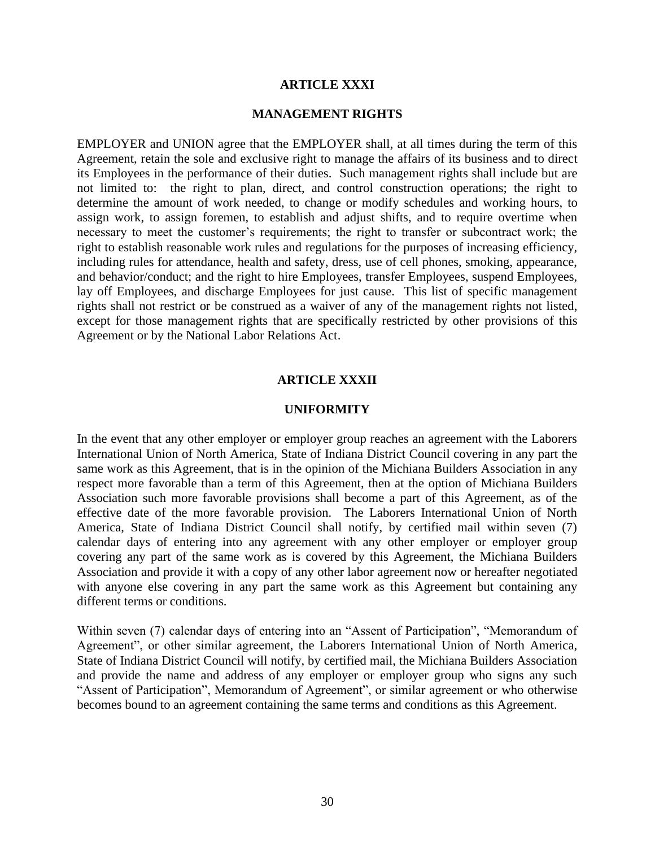#### **ARTICLE XXXI**

#### **MANAGEMENT RIGHTS**

EMPLOYER and UNION agree that the EMPLOYER shall, at all times during the term of this Agreement, retain the sole and exclusive right to manage the affairs of its business and to direct its Employees in the performance of their duties. Such management rights shall include but are not limited to: the right to plan, direct, and control construction operations; the right to determine the amount of work needed, to change or modify schedules and working hours, to assign work, to assign foremen, to establish and adjust shifts, and to require overtime when necessary to meet the customer's requirements; the right to transfer or subcontract work; the right to establish reasonable work rules and regulations for the purposes of increasing efficiency, including rules for attendance, health and safety, dress, use of cell phones, smoking, appearance, and behavior/conduct; and the right to hire Employees, transfer Employees, suspend Employees, lay off Employees, and discharge Employees for just cause. This list of specific management rights shall not restrict or be construed as a waiver of any of the management rights not listed, except for those management rights that are specifically restricted by other provisions of this Agreement or by the National Labor Relations Act.

#### **ARTICLE XXXII**

#### **UNIFORMITY**

In the event that any other employer or employer group reaches an agreement with the Laborers International Union of North America, State of Indiana District Council covering in any part the same work as this Agreement, that is in the opinion of the Michiana Builders Association in any respect more favorable than a term of this Agreement, then at the option of Michiana Builders Association such more favorable provisions shall become a part of this Agreement, as of the effective date of the more favorable provision. The Laborers International Union of North America, State of Indiana District Council shall notify, by certified mail within seven (7) calendar days of entering into any agreement with any other employer or employer group covering any part of the same work as is covered by this Agreement, the Michiana Builders Association and provide it with a copy of any other labor agreement now or hereafter negotiated with anyone else covering in any part the same work as this Agreement but containing any different terms or conditions.

Within seven (7) calendar days of entering into an "Assent of Participation", "Memorandum of Agreement", or other similar agreement, the Laborers International Union of North America, State of Indiana District Council will notify, by certified mail, the Michiana Builders Association and provide the name and address of any employer or employer group who signs any such "Assent of Participation", Memorandum of Agreement", or similar agreement or who otherwise becomes bound to an agreement containing the same terms and conditions as this Agreement.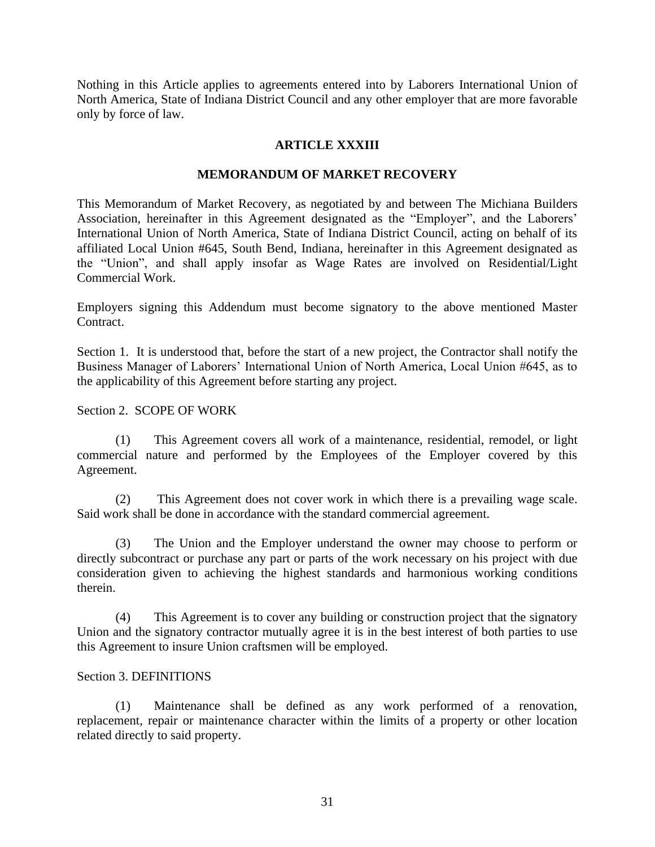Nothing in this Article applies to agreements entered into by Laborers International Union of North America, State of Indiana District Council and any other employer that are more favorable only by force of law.

# **ARTICLE XXXIII**

#### **MEMORANDUM OF MARKET RECOVERY**

This Memorandum of Market Recovery, as negotiated by and between The Michiana Builders Association, hereinafter in this Agreement designated as the "Employer", and the Laborers' International Union of North America, State of Indiana District Council, acting on behalf of its affiliated Local Union #645, South Bend, Indiana, hereinafter in this Agreement designated as the "Union", and shall apply insofar as Wage Rates are involved on Residential/Light Commercial Work.

Employers signing this Addendum must become signatory to the above mentioned Master Contract.

Section 1. It is understood that, before the start of a new project, the Contractor shall notify the Business Manager of Laborers' International Union of North America, Local Union #645, as to the applicability of this Agreement before starting any project.

#### Section 2. SCOPE OF WORK

(1) This Agreement covers all work of a maintenance, residential, remodel, or light commercial nature and performed by the Employees of the Employer covered by this Agreement.

(2) This Agreement does not cover work in which there is a prevailing wage scale. Said work shall be done in accordance with the standard commercial agreement.

(3) The Union and the Employer understand the owner may choose to perform or directly subcontract or purchase any part or parts of the work necessary on his project with due consideration given to achieving the highest standards and harmonious working conditions therein.

(4) This Agreement is to cover any building or construction project that the signatory Union and the signatory contractor mutually agree it is in the best interest of both parties to use this Agreement to insure Union craftsmen will be employed.

#### Section 3. DEFINITIONS

(1) Maintenance shall be defined as any work performed of a renovation, replacement, repair or maintenance character within the limits of a property or other location related directly to said property.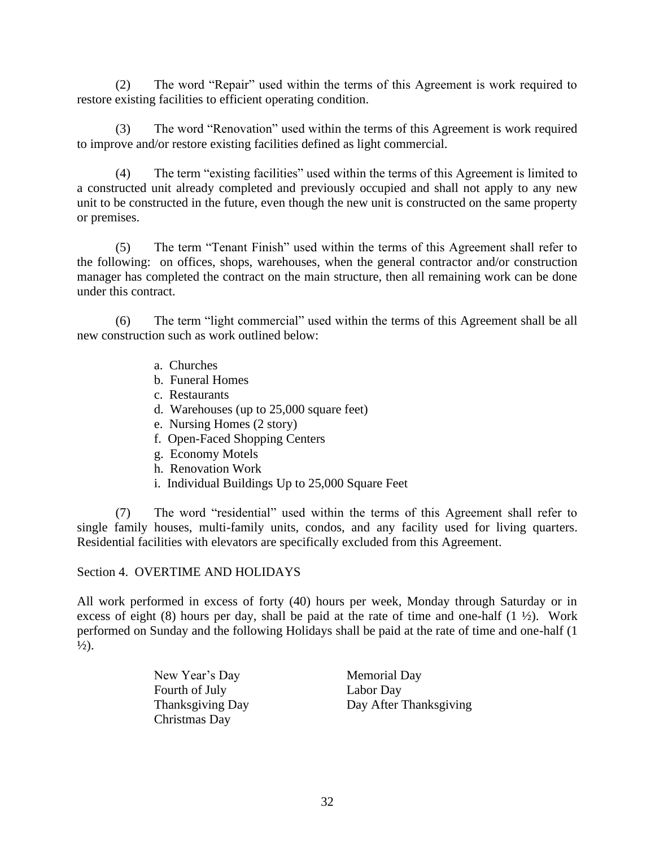(2) The word "Repair" used within the terms of this Agreement is work required to restore existing facilities to efficient operating condition.

(3) The word "Renovation" used within the terms of this Agreement is work required to improve and/or restore existing facilities defined as light commercial.

(4) The term "existing facilities" used within the terms of this Agreement is limited to a constructed unit already completed and previously occupied and shall not apply to any new unit to be constructed in the future, even though the new unit is constructed on the same property or premises.

(5) The term "Tenant Finish" used within the terms of this Agreement shall refer to the following: on offices, shops, warehouses, when the general contractor and/or construction manager has completed the contract on the main structure, then all remaining work can be done under this contract.

(6) The term "light commercial" used within the terms of this Agreement shall be all new construction such as work outlined below:

- a. Churches
- b. Funeral Homes
- c. Restaurants
- d. Warehouses (up to 25,000 square feet)
- e. Nursing Homes (2 story)
- f. Open-Faced Shopping Centers
- g. Economy Motels
- h. Renovation Work
- i. Individual Buildings Up to 25,000 Square Feet

(7) The word "residential" used within the terms of this Agreement shall refer to single family houses, multi-family units, condos, and any facility used for living quarters. Residential facilities with elevators are specifically excluded from this Agreement.

# Section 4. OVERTIME AND HOLIDAYS

All work performed in excess of forty (40) hours per week, Monday through Saturday or in excess of eight (8) hours per day, shall be paid at the rate of time and one-half  $(1 \frac{1}{2})$ . Work performed on Sunday and the following Holidays shall be paid at the rate of time and one-half (1  $\frac{1}{2}$ .

> New Year's Day Memorial Day Fourth of July Labor Day Christmas Day

Thanksgiving Day Day After Thanksgiving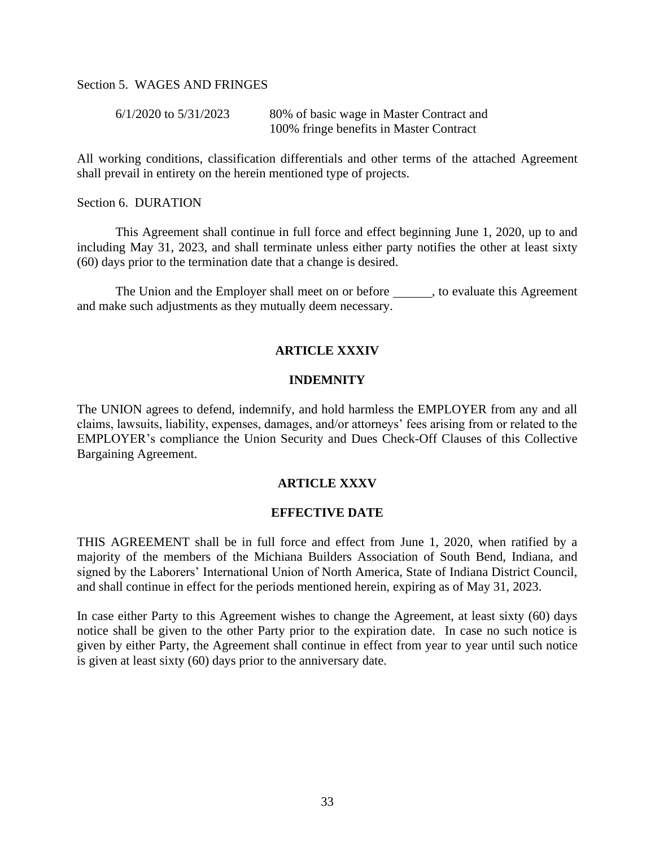# Section 5. WAGES AND FRINGES

| $6/1/2020$ to $5/31/2023$ | 80% of basic wage in Master Contract and |
|---------------------------|------------------------------------------|
|                           | 100% fringe benefits in Master Contract  |

All working conditions, classification differentials and other terms of the attached Agreement shall prevail in entirety on the herein mentioned type of projects.

Section 6. DURATION

This Agreement shall continue in full force and effect beginning June 1, 2020, up to and including May 31, 2023, and shall terminate unless either party notifies the other at least sixty (60) days prior to the termination date that a change is desired.

The Union and the Employer shall meet on or before \_\_\_\_\_\_, to evaluate this Agreement and make such adjustments as they mutually deem necessary.

#### **ARTICLE XXXIV**

#### **INDEMNITY**

The UNION agrees to defend, indemnify, and hold harmless the EMPLOYER from any and all claims, lawsuits, liability, expenses, damages, and/or attorneys' fees arising from or related to the EMPLOYER's compliance the Union Security and Dues Check-Off Clauses of this Collective Bargaining Agreement.

#### **ARTICLE XXXV**

#### **EFFECTIVE DATE**

THIS AGREEMENT shall be in full force and effect from June 1, 2020, when ratified by a majority of the members of the Michiana Builders Association of South Bend, Indiana, and signed by the Laborers' International Union of North America, State of Indiana District Council, and shall continue in effect for the periods mentioned herein, expiring as of May 31, 2023.

In case either Party to this Agreement wishes to change the Agreement, at least sixty (60) days notice shall be given to the other Party prior to the expiration date. In case no such notice is given by either Party, the Agreement shall continue in effect from year to year until such notice is given at least sixty (60) days prior to the anniversary date.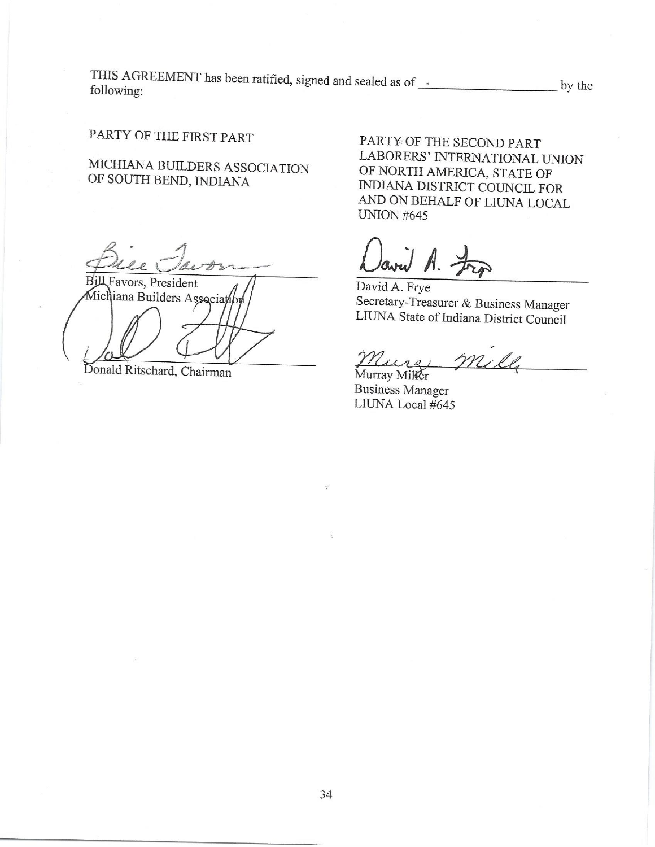THIS AGREEMENT has been ratified, signed and sealed as of \_\_\_\_\_\_\_\_\_\_\_\_\_\_\_\_\_\_\_\_\_\_\_ by the following:

# PARTY OF THE FIRST PART

MICHIANA BUILDERS ASSOCIATION OF SOUTH BEND, INDIANA

Bіll Favors, President Michiana Builders Associan

Donald Ritschard, Chairman

PARTY OF THE SECOND PART LABORERS' INTERNATIONAL UNION OF NORTH AMERICA, STATE OF INDIANA DISTRICT COUNCIL FOR AND ON BEHALF OF LIUNA LOCAL **UNION #645** 

aved A. Fr

David A. Frye Secretary-Treasurer & Business Manager LIUNA State of Indiana District Council

mill

Murray Miller **Business Manager** LIUNA Local #645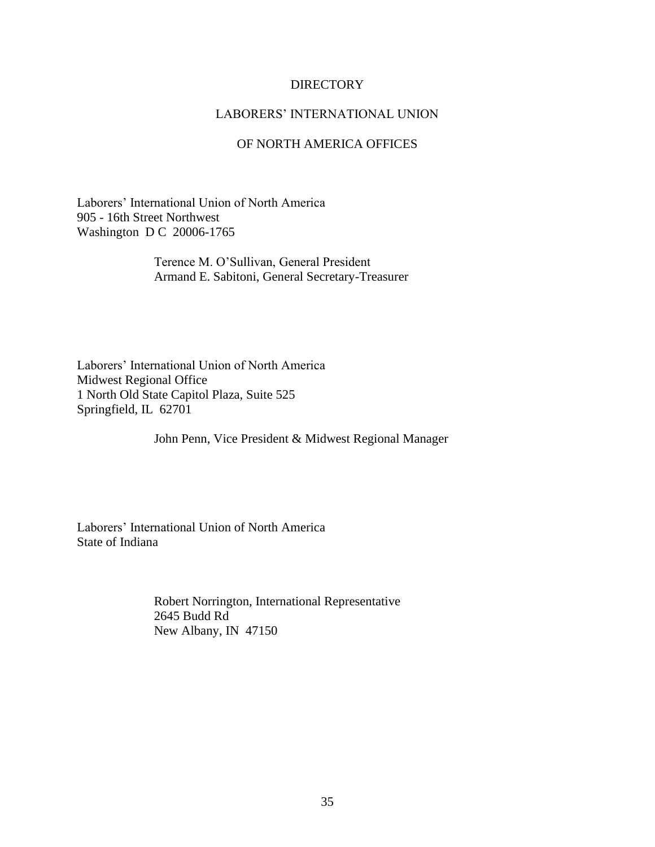#### **DIRECTORY**

# LABORERS' INTERNATIONAL UNION

# OF NORTH AMERICA OFFICES

Laborers' International Union of North America 905 - 16th Street Northwest Washington D C 20006-1765

> Terence M. O'Sullivan, General President Armand E. Sabitoni, General Secretary-Treasurer

Laborers' International Union of North America Midwest Regional Office 1 North Old State Capitol Plaza, Suite 525 Springfield, IL 62701

John Penn, Vice President & Midwest Regional Manager

Laborers' International Union of North America State of Indiana

> Robert Norrington, International Representative 2645 Budd Rd New Albany, IN 47150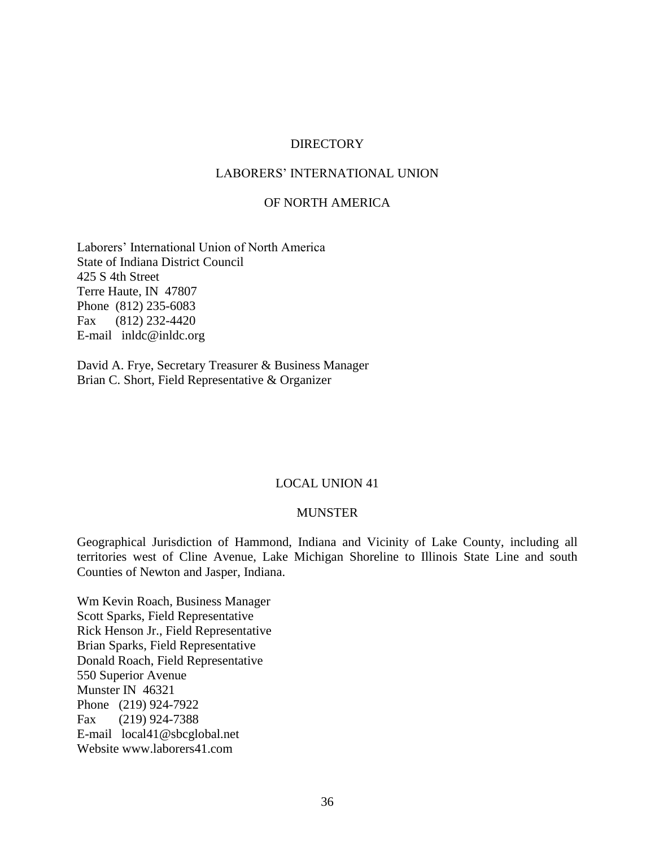#### **DIRECTORY**

# LABORERS' INTERNATIONAL UNION

# OF NORTH AMERICA

Laborers' International Union of North America State of Indiana District Council 425 S 4th Street Terre Haute, IN 47807 Phone (812) 235-6083 Fax (812) 232-4420 E-mail inldc@inldc.org

David A. Frye, Secretary Treasurer & Business Manager Brian C. Short, Field Representative & Organizer

#### LOCAL UNION 41

### MUNSTER

Geographical Jurisdiction of Hammond, Indiana and Vicinity of Lake County, including all territories west of Cline Avenue, Lake Michigan Shoreline to Illinois State Line and south Counties of Newton and Jasper, Indiana.

Wm Kevin Roach, Business Manager Scott Sparks, Field Representative Rick Henson Jr., Field Representative Brian Sparks, Field Representative Donald Roach, Field Representative 550 Superior Avenue Munster IN 46321 Phone (219) 924-7922 Fax (219) 924-7388 E-mail local41@sbcglobal.net Website www.laborers41.com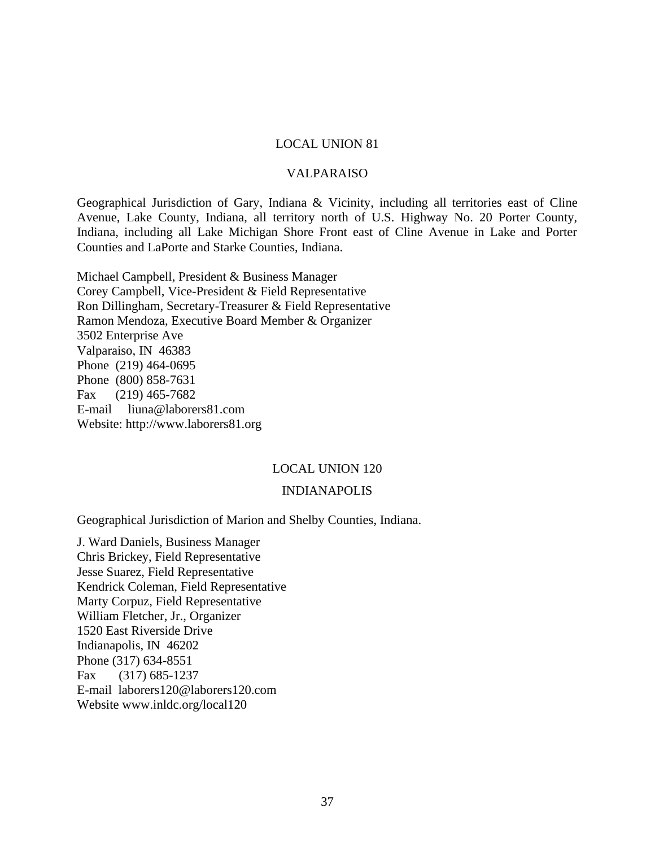#### VALPARAISO

Geographical Jurisdiction of Gary, Indiana & Vicinity, including all territories east of Cline Avenue, Lake County, Indiana, all territory north of U.S. Highway No. 20 Porter County, Indiana, including all Lake Michigan Shore Front east of Cline Avenue in Lake and Porter Counties and LaPorte and Starke Counties, Indiana.

Michael Campbell, President & Business Manager Corey Campbell, Vice-President & Field Representative Ron Dillingham, Secretary-Treasurer & Field Representative Ramon Mendoza, Executive Board Member & Organizer 3502 Enterprise Ave Valparaiso, IN 46383 Phone (219) 464-0695 Phone (800) 858-7631 Fax (219) 465-7682 E-mail liuna@laborers81.com Website: http://www.laborers81.org

#### LOCAL UNION 120

#### INDIANAPOLIS

Geographical Jurisdiction of Marion and Shelby Counties, Indiana.

J. Ward Daniels, Business Manager Chris Brickey, Field Representative Jesse Suarez, Field Representative Kendrick Coleman, Field Representative Marty Corpuz, Field Representative William Fletcher, Jr., Organizer 1520 East Riverside Drive Indianapolis, IN 46202 Phone (317) 634-8551 Fax (317) 685-1237 E-mail laborers120@laborers120.com Website www.inldc.org/local120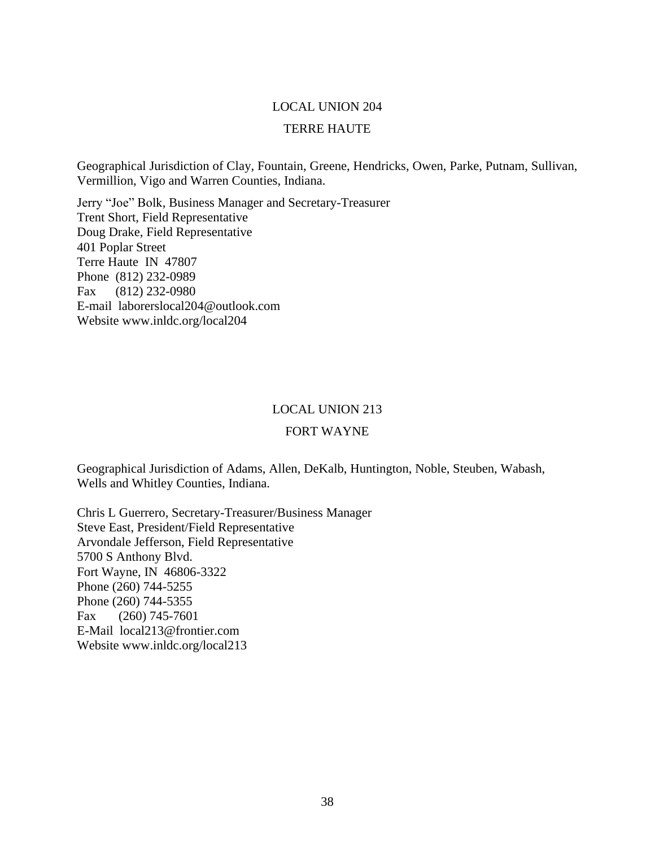#### TERRE HAUTE

Geographical Jurisdiction of Clay, Fountain, Greene, Hendricks, Owen, Parke, Putnam, Sullivan, Vermillion, Vigo and Warren Counties, Indiana.

Jerry "Joe" Bolk, Business Manager and Secretary-Treasurer Trent Short, Field Representative Doug Drake, Field Representative 401 Poplar Street Terre Haute IN 47807 Phone (812) 232-0989 Fax (812) 232-0980 E-mail laborerslocal204@outlook.com Website www.inldc.org/local204

#### LOCAL UNION 213

#### FORT WAYNE

Geographical Jurisdiction of Adams, Allen, DeKalb, Huntington, Noble, Steuben, Wabash, Wells and Whitley Counties, Indiana.

Chris L Guerrero, Secretary-Treasurer/Business Manager Steve East, President/Field Representative Arvondale Jefferson, Field Representative 5700 S Anthony Blvd. Fort Wayne, IN 46806-3322 Phone (260) 744-5255 Phone (260) 744-5355 Fax (260) 745-7601 E-Mail local213@frontier.com Website www.inldc.org/local213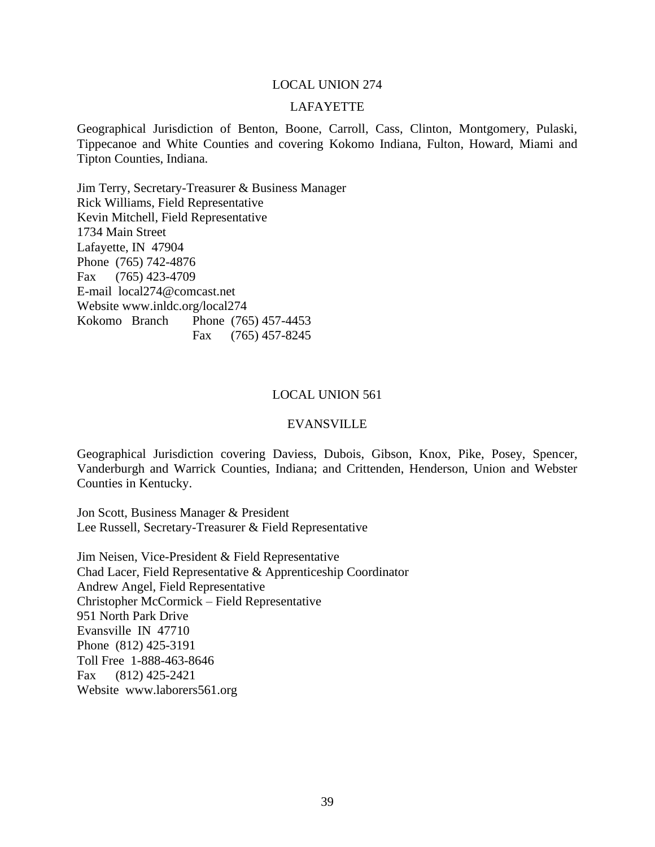#### LAFAYETTE

Geographical Jurisdiction of Benton, Boone, Carroll, Cass, Clinton, Montgomery, Pulaski, Tippecanoe and White Counties and covering Kokomo Indiana, Fulton, Howard, Miami and Tipton Counties, Indiana.

Jim Terry, Secretary-Treasurer & Business Manager Rick Williams, Field Representative Kevin Mitchell, Field Representative 1734 Main Street Lafayette, IN 47904 Phone (765) 742-4876 Fax (765) 423-4709 E-mail local274@comcast.net Website www.inldc.org/local274 Kokomo Branch Phone (765) 457-4453 Fax (765) 457-8245

#### LOCAL UNION 561

#### EVANSVILLE

Geographical Jurisdiction covering Daviess, Dubois, Gibson, Knox, Pike, Posey, Spencer, Vanderburgh and Warrick Counties, Indiana; and Crittenden, Henderson, Union and Webster Counties in Kentucky.

Jon Scott, Business Manager & President Lee Russell, Secretary-Treasurer & Field Representative

Jim Neisen, Vice-President & Field Representative Chad Lacer, Field Representative & Apprenticeship Coordinator Andrew Angel, Field Representative Christopher McCormick – Field Representative 951 North Park Drive Evansville IN 47710 Phone (812) 425-3191 Toll Free 1-888-463-8646 Fax (812) 425-2421 Website www.laborers561.org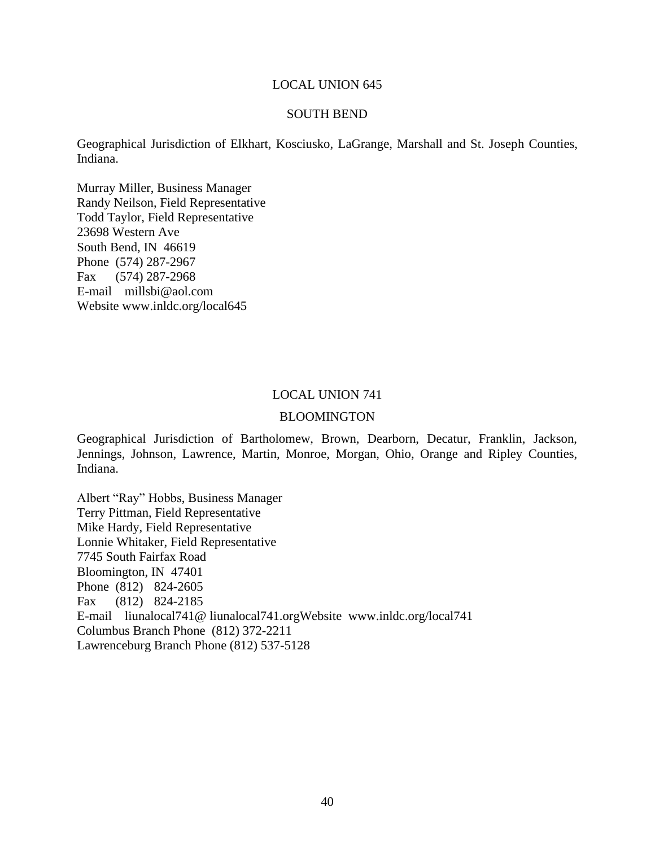#### SOUTH BEND

Geographical Jurisdiction of Elkhart, Kosciusko, LaGrange, Marshall and St. Joseph Counties, Indiana.

Murray Miller, Business Manager Randy Neilson, Field Representative Todd Taylor, Field Representative 23698 Western Ave South Bend, IN 46619 Phone (574) 287-2967 Fax (574) 287-2968 E-mail millsbi@aol.com Website www.inldc.org/local645

#### LOCAL UNION 741

#### BLOOMINGTON

Geographical Jurisdiction of Bartholomew, Brown, Dearborn, Decatur, Franklin, Jackson, Jennings, Johnson, Lawrence, Martin, Monroe, Morgan, Ohio, Orange and Ripley Counties, Indiana.

Albert "Ray" Hobbs, Business Manager Terry Pittman, Field Representative Mike Hardy, Field Representative Lonnie Whitaker, Field Representative 7745 South Fairfax Road Bloomington, IN 47401 Phone (812) 824-2605 Fax (812) 824-2185 E-mail liunalocal741@ liunalocal741.orgWebsite www.inldc.org/local741 Columbus Branch Phone (812) 372-2211 Lawrenceburg Branch Phone (812) 537-5128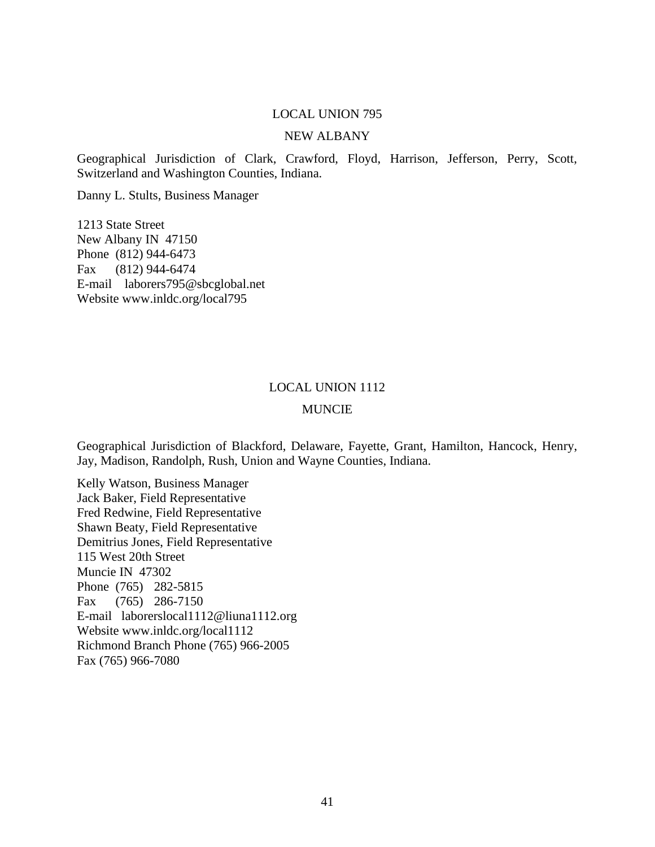# NEW ALBANY

Geographical Jurisdiction of Clark, Crawford, Floyd, Harrison, Jefferson, Perry, Scott, Switzerland and Washington Counties, Indiana.

Danny L. Stults, Business Manager

1213 State Street New Albany IN 47150 Phone (812) 944-6473 Fax (812) 944-6474 E-mail laborers795@sbcglobal.net Website www.inldc.org/local795

#### LOCAL UNION 1112

#### MUNCIE

Geographical Jurisdiction of Blackford, Delaware, Fayette, Grant, Hamilton, Hancock, Henry, Jay, Madison, Randolph, Rush, Union and Wayne Counties, Indiana.

Kelly Watson, Business Manager Jack Baker, Field Representative Fred Redwine, Field Representative Shawn Beaty, Field Representative Demitrius Jones, Field Representative 115 West 20th Street Muncie IN 47302 Phone (765) 282-5815 Fax (765) 286-7150 E-mail laborerslocal1112@liuna1112.org Website www.inldc.org/local1112 Richmond Branch Phone (765) 966-2005 Fax (765) 966-7080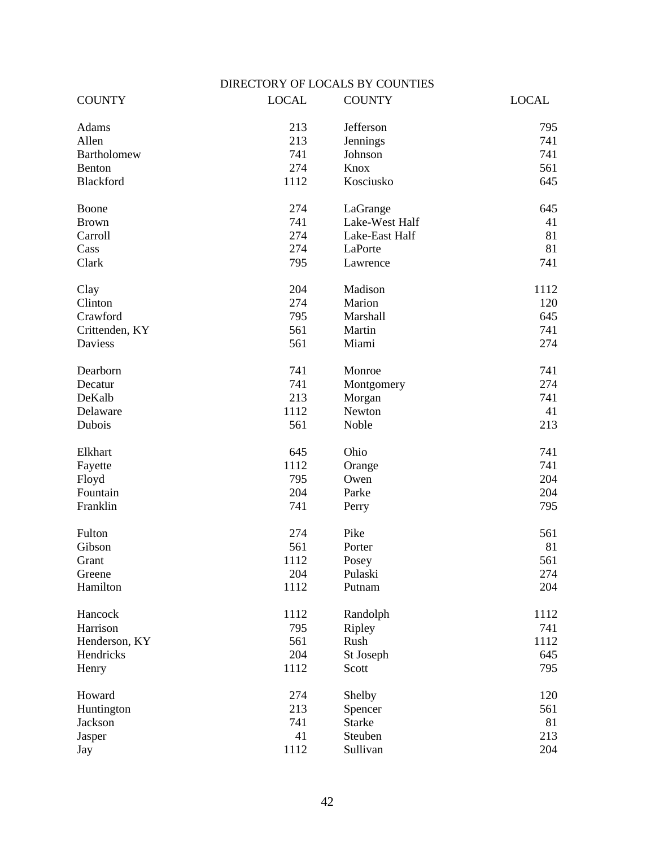# DIRECTORY OF LOCALS BY COUNTIES

| <b>COUNTY</b>  | <b>LOCAL</b> | <b>COUNTY</b>  | <b>LOCAL</b> |
|----------------|--------------|----------------|--------------|
| Adams          | 213          | Jefferson      | 795          |
| Allen          | 213          | Jennings       | 741          |
| Bartholomew    | 741          | Johnson        | 741          |
| Benton         | 274          | Knox           | 561          |
| Blackford      | 1112         | Kosciusko      | 645          |
| Boone          | 274          | LaGrange       | 645          |
| <b>Brown</b>   | 741          | Lake-West Half | 41           |
| Carroll        | 274          | Lake-East Half | 81           |
| Cass           | 274          | LaPorte        | 81           |
| Clark          | 795          | Lawrence       | 741          |
| Clay           | 204          | Madison        | 1112         |
| Clinton        | 274          | Marion         | 120          |
| Crawford       | 795          | Marshall       | 645          |
| Crittenden, KY | 561          | Martin         | 741          |
| <b>Daviess</b> | 561          | Miami          | 274          |
| Dearborn       | 741          | Monroe         | 741          |
| Decatur        | 741          | Montgomery     | 274          |
| DeKalb         | 213          | Morgan         | 741          |
| Delaware       | 1112         | Newton         | 41           |
| Dubois         | 561          | Noble          | 213          |
| Elkhart        | 645          | Ohio           | 741          |
| Fayette        | 1112         | Orange         | 741          |
| Floyd          | 795          | Owen           | 204          |
| Fountain       | 204          | Parke          | 204          |
| Franklin       | 741          | Perry          | 795          |
| Fulton         | 274          | Pike           | 561          |
| Gibson         | 561          | Porter         | 81           |
| Grant          | 1112         | Posey          | 561          |
| Greene         | 204          | Pulaski        | 274          |
| Hamilton       | 1112         | Putnam         | 204          |
| Hancock        | 1112         | Randolph       | 1112         |
| Harrison       | 795          | Ripley         | 741          |
| Henderson, KY  | 561          | Rush           | 1112         |
| Hendricks      | 204          | St Joseph      | 645          |
| Henry          | 1112         | Scott          | 795          |
| Howard         | 274          | Shelby         | 120          |
| Huntington     | 213          | Spencer        | 561          |
| Jackson        | 741          | <b>Starke</b>  | 81           |
| Jasper         | 41           | Steuben        | 213          |
| Jay            | 1112         | Sullivan       | 204          |